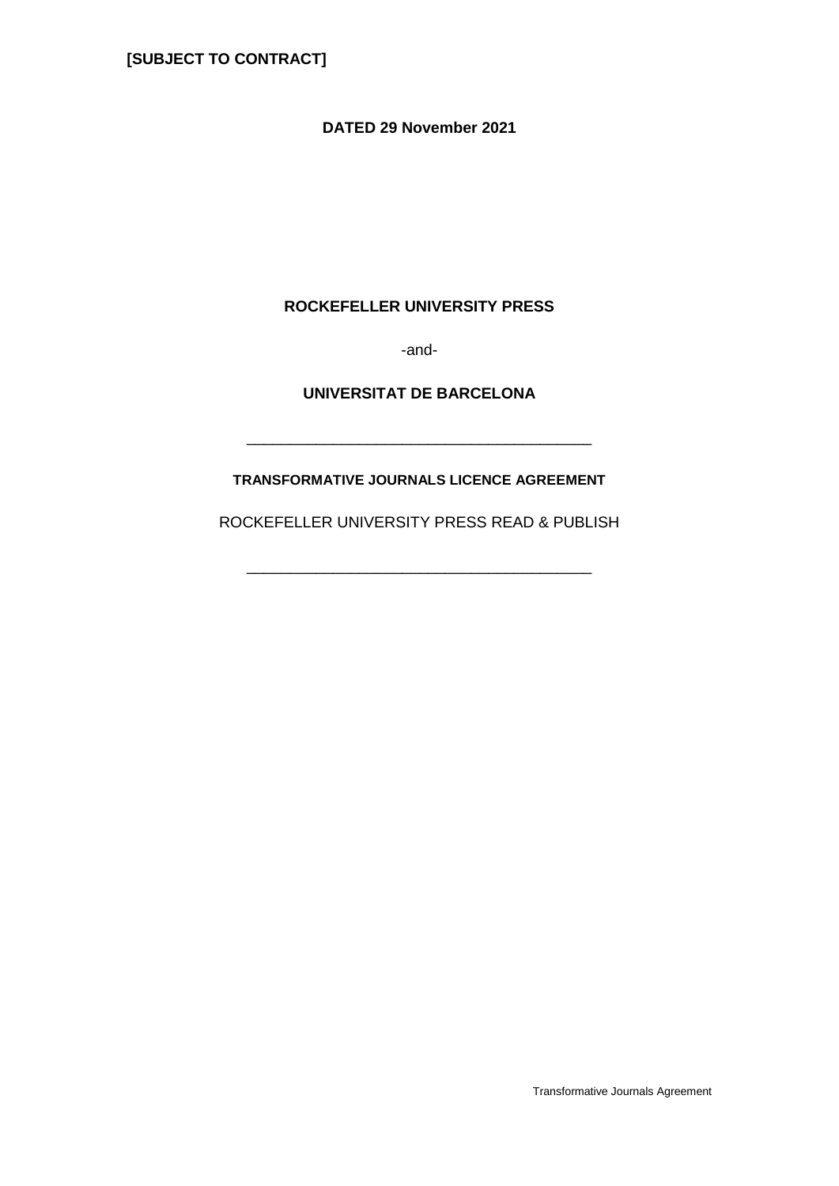**DATED 29 November 2021**

# **ROCKEFELLER UNIVERSITY PRESS**

-and-

# **UNIVERSITAT DE BARCELONA**

## **TRANSFORMATIVE JOURNALS LICENCE AGREEMENT**

\_\_\_\_\_\_\_\_\_\_\_\_\_\_\_\_\_\_\_\_\_\_\_\_\_\_\_\_\_\_\_\_\_\_\_\_\_\_\_\_

ROCKEFELLER UNIVERSITY PRESS READ & PUBLISH

\_\_\_\_\_\_\_\_\_\_\_\_\_\_\_\_\_\_\_\_\_\_\_\_\_\_\_\_\_\_\_\_\_\_\_\_\_\_\_\_

Transformative Journals Agreement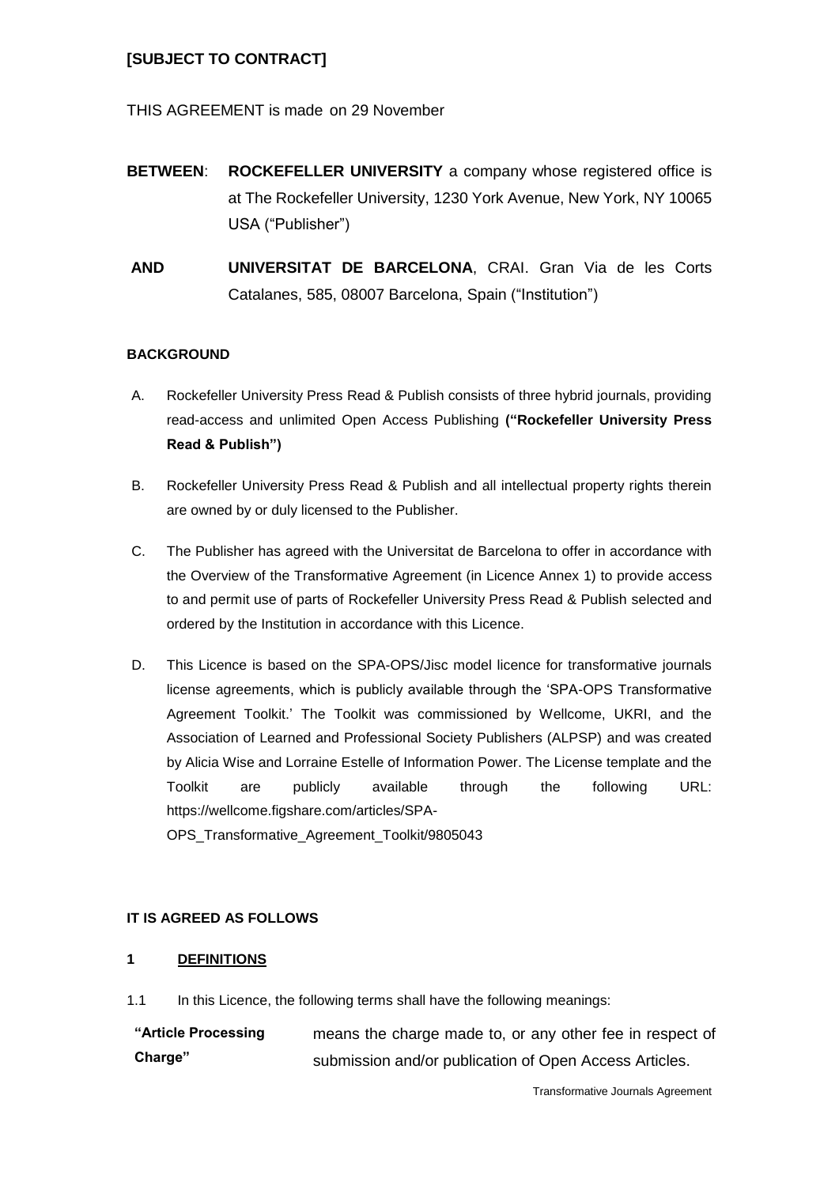# **[SUBJECT TO CONTRACT]**

### THIS AGREEMENT is made on 29 November

- **BETWEEN**: **ROCKEFELLER UNIVERSITY** a company whose registered office is at The Rockefeller University, 1230 York Avenue, New York, NY 10065 USA ("Publisher")
- **AND UNIVERSITAT DE BARCELONA**, CRAI. Gran Via de les Corts Catalanes, 585, 08007 Barcelona, Spain ("Institution")

### **BACKGROUND**

- A. Rockefeller University Press Read & Publish consists of three hybrid journals, providing read-access and unlimited Open Access Publishing **("Rockefeller University Press Read & Publish")**
- B. Rockefeller University Press Read & Publish and all intellectual property rights therein are owned by or duly licensed to the Publisher.
- C. The Publisher has agreed with the Universitat de Barcelona to offer in accordance with the Overview of the Transformative Agreement (in Licence Annex 1) to provide access to and permit use of parts of Rockefeller University Press Read & Publish selected and ordered by the Institution in accordance with this Licence.
- D. This Licence is based on the SPA-OPS/Jisc model licence for transformative journals license agreements, which is publicly available through the 'SPA-OPS Transformative Agreement Toolkit.' The Toolkit was commissioned by Wellcome, UKRI, and the Association of Learned and Professional Society Publishers (ALPSP) and was created by Alicia Wise and Lorraine Estelle of Information Power. The License template and the Toolkit are publicly available through the following URL: https://wellcome.figshare.com/articles/SPA-

OPS\_Transformative\_Agreement\_Toolkit/9805043

### **IT IS AGREED AS FOLLOWS**

### **1 DEFINITIONS**

1.1 In this Licence, the following terms shall have the following meanings:

| "Article Processing | means the charge made to, or any other fee in respect of |
|---------------------|----------------------------------------------------------|
| Charge"             | submission and/or publication of Open Access Articles.   |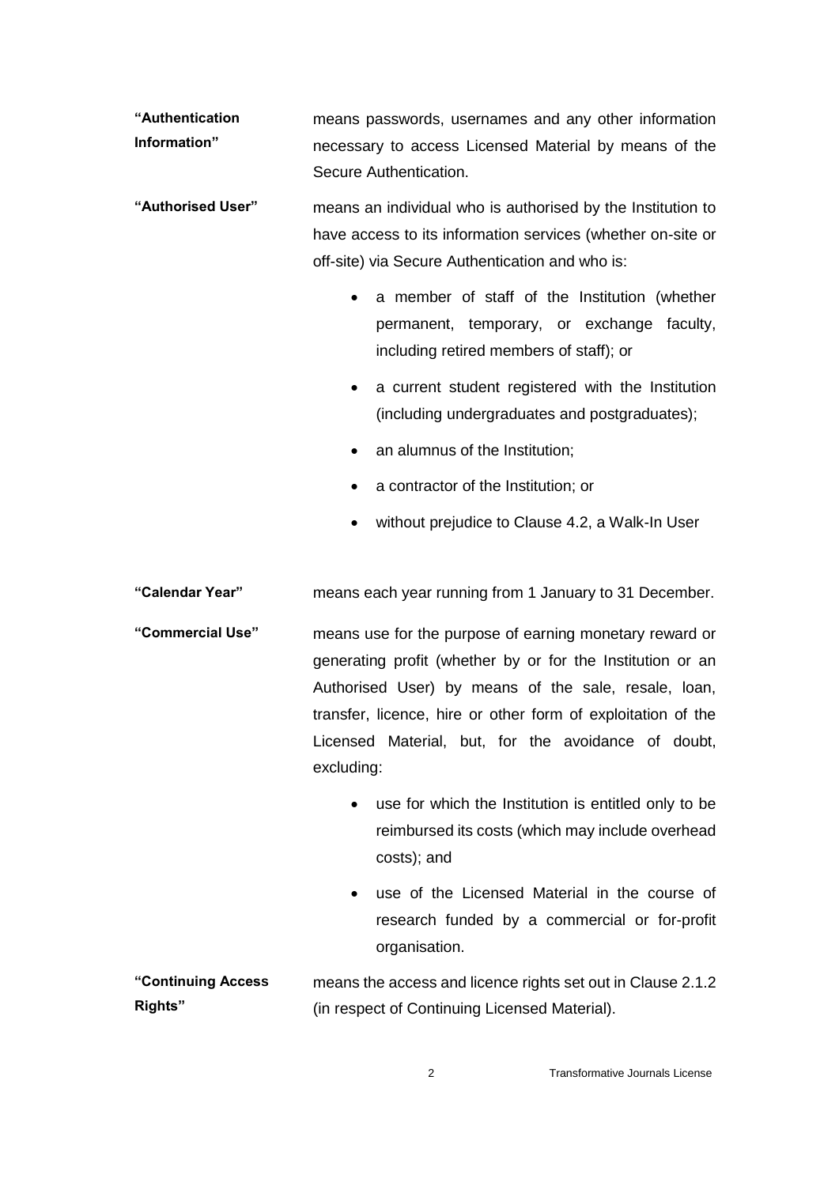**"Authentication Information"** means passwords, usernames and any other information necessary to access Licensed Material by means of the Secure Authentication.

**"Authorised User"** means an individual who is authorised by the Institution to have access to its information services (whether on-site or off-site) via Secure Authentication and who is:

- a member of staff of the Institution (whether permanent, temporary, or exchange faculty, including retired members of staff); or
- a current student registered with the Institution (including undergraduates and postgraduates);
- an alumnus of the Institution:
- a contractor of the Institution: or
- without prejudice to Clause 4.2, a Walk-In User

**"Calendar Year"** means each year running from 1 January to 31 December.

**"Commercial Use"** means use for the purpose of earning monetary reward or generating profit (whether by or for the Institution or an Authorised User) by means of the sale, resale, loan, transfer, licence, hire or other form of exploitation of the Licensed Material, but, for the avoidance of doubt, excluding:

- use for which the Institution is entitled only to be reimbursed its costs (which may include overhead costs); and
- use of the Licensed Material in the course of research funded by a commercial or for-profit organisation.

**"Continuing Access Rights"** means the access and licence rights set out in Claus[e 2.1.2](#page-7-0) (in respect of Continuing Licensed Material).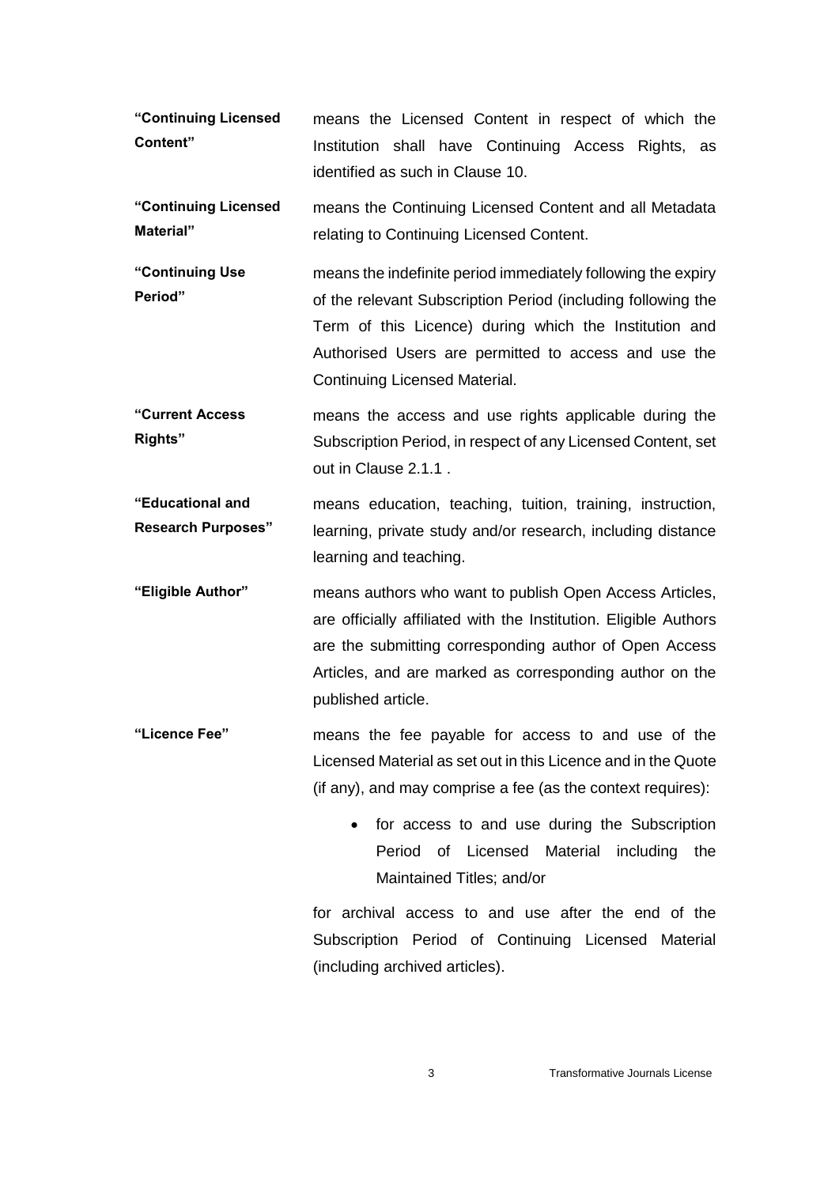| "Continuing Licensed<br>Content"              | means the Licensed Content in respect of which the<br>Institution shall have Continuing Access Rights,<br>as<br>identified as such in Clause 10.                                                                                                                                |  |
|-----------------------------------------------|---------------------------------------------------------------------------------------------------------------------------------------------------------------------------------------------------------------------------------------------------------------------------------|--|
| "Continuing Licensed<br>Material"             | means the Continuing Licensed Content and all Metadata<br>relating to Continuing Licensed Content.                                                                                                                                                                              |  |
| "Continuing Use<br>Period"                    | means the indefinite period immediately following the expiry<br>of the relevant Subscription Period (including following the<br>Term of this Licence) during which the Institution and<br>Authorised Users are permitted to access and use the<br>Continuing Licensed Material. |  |
| "Current Access<br>Rights"                    | means the access and use rights applicable during the<br>Subscription Period, in respect of any Licensed Content, set<br>out in Clause 2.1.1.                                                                                                                                   |  |
| "Educational and<br><b>Research Purposes"</b> | means education, teaching, tuition, training, instruction,<br>learning, private study and/or research, including distance<br>learning and teaching.                                                                                                                             |  |
| "Eligible Author"                             | means authors who want to publish Open Access Articles,<br>are officially affiliated with the Institution. Eligible Authors<br>are the submitting corresponding author of Open Access<br>Articles, and are marked as corresponding author on the<br>published article.          |  |
| "Licence Fee"                                 | means the fee payable for access to and use of the<br>Licensed Material as set out in this Licence and in the Quote<br>(if any), and may comprise a fee (as the context requires):                                                                                              |  |
|                                               | for access to and use during the Subscription<br>Period<br>of Licensed Material including<br>the<br>Maintained Titles; and/or                                                                                                                                                   |  |
|                                               | for archival access to and use after the end of the<br>Subscription Period of Continuing Licensed Material<br>(including archived articles).                                                                                                                                    |  |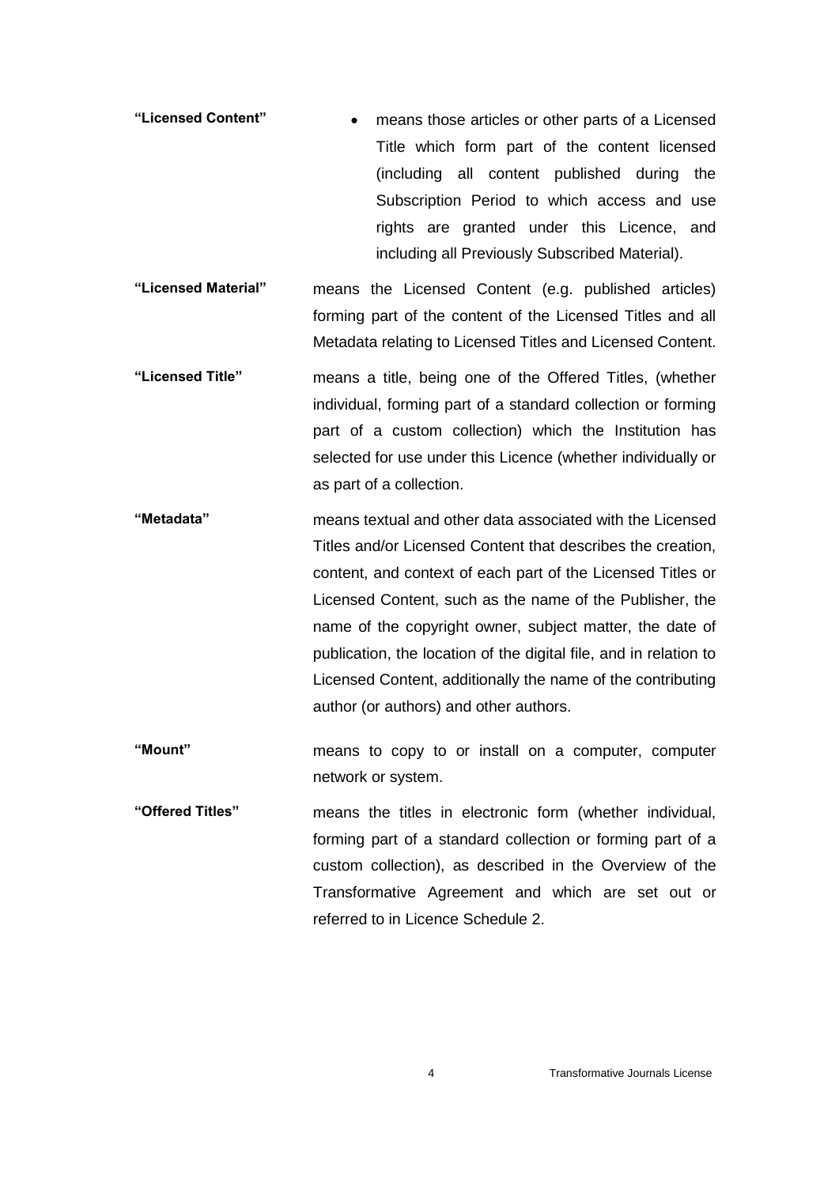**"Licensed Content"** • means those articles or other parts of a Licensed Title which form part of the content licensed (including all content published during the Subscription Period to which access and use rights are granted under this Licence, and including all Previously Subscribed Material).

**"Licensed Material"** means the Licensed Content (e.g. published articles) forming part of the content of the Licensed Titles and all Metadata relating to Licensed Titles and Licensed Content.

- **"Licensed Title"** means a title, being one of the Offered Titles, (whether individual, forming part of a standard collection or forming part of a custom collection) which the Institution has selected for use under this Licence (whether individually or as part of a collection.
- **"Metadata"** means textual and other data associated with the Licensed Titles and/or Licensed Content that describes the creation, content, and context of each part of the Licensed Titles or Licensed Content, such as the name of the Publisher, the name of the copyright owner, subject matter, the date of publication, the location of the digital file, and in relation to Licensed Content, additionally the name of the contributing author (or authors) and other authors.
- **"Mount"** means to copy to or install on a computer, computer network or system.
- **"Offered Titles"** means the titles in electronic form (whether individual, forming part of a standard collection or forming part of a custom collection), as described in the Overview of the Transformative Agreement and which are set out or referred to in [Licence Schedule 2.](#page-29-0)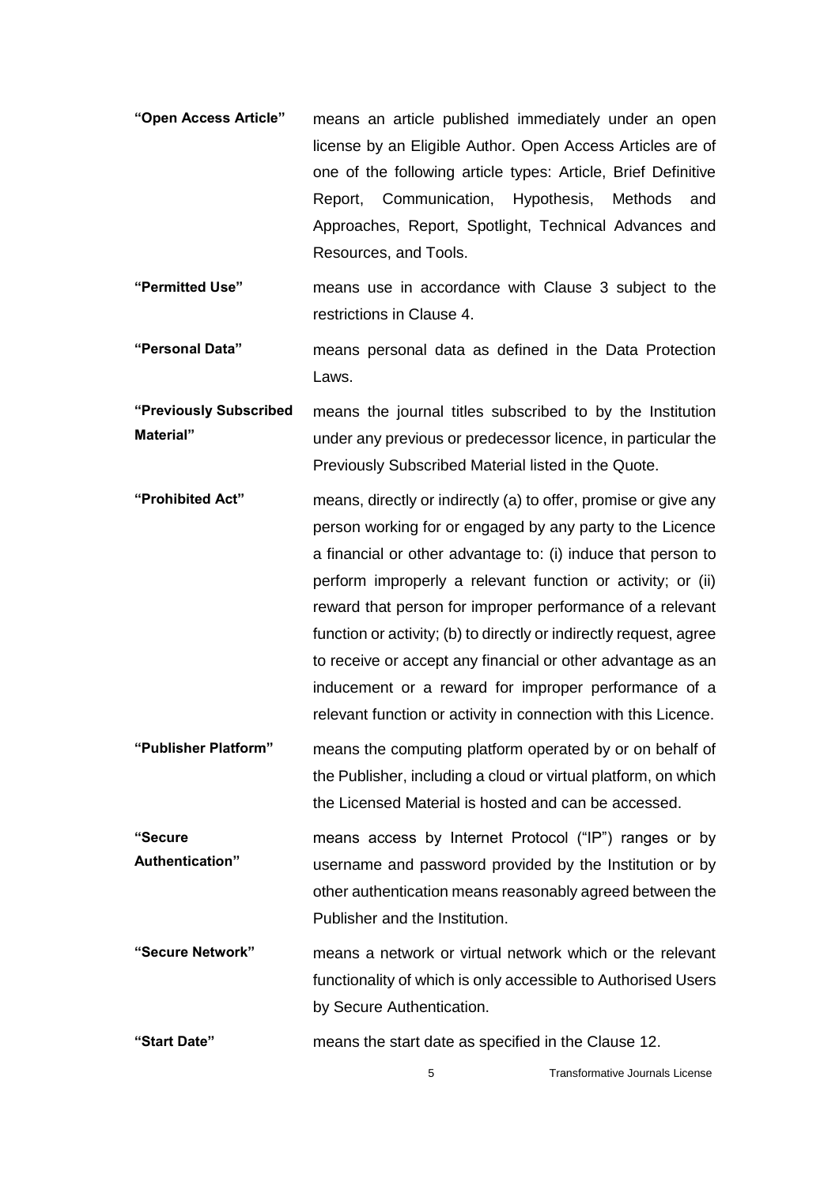- **"Open Access Article"** means an article published immediately under an open license by an Eligible Author. Open Access Articles are of one of the following article types: Article, Brief Definitive Report, Communication, Hypothesis, Methods and Approaches, Report, Spotlight, Technical Advances and Resources, and Tools.
- **"Permitted Use"** means use in accordance with Clause [3](#page-7-2) subject to the restrictions in Clause [4.](#page-10-0)
- **"Personal Data"** means personal data as defined in the Data Protection Laws.
- **"Previously Subscribed Material"** means the journal titles subscribed to by the Institution under any previous or predecessor licence, in particular the Previously Subscribed Material listed in the Quote.
- **"Prohibited Act"** means, directly or indirectly (a) to offer, promise or give any person working for or engaged by any party to the Licence a financial or other advantage to: (i) induce that person to perform improperly a relevant function or activity; or (ii) reward that person for improper performance of a relevant function or activity; (b) to directly or indirectly request, agree to receive or accept any financial or other advantage as an inducement or a reward for improper performance of a relevant function or activity in connection with this Licence.
- **"Publisher Platform"** means the computing platform operated by or on behalf of the Publisher, including a cloud or virtual platform, on which the Licensed Material is hosted and can be accessed.
- **"Secure Authentication"** means access by Internet Protocol ("IP") ranges or by username and password provided by the Institution or by other authentication means reasonably agreed between the Publisher and the Institution.
- **"Secure Network"** means a network or virtual network which or the relevant functionality of which is only accessible to Authorised Users by Secure Authentication.

**"Start Date"** means the start date as specified in the Clause 12.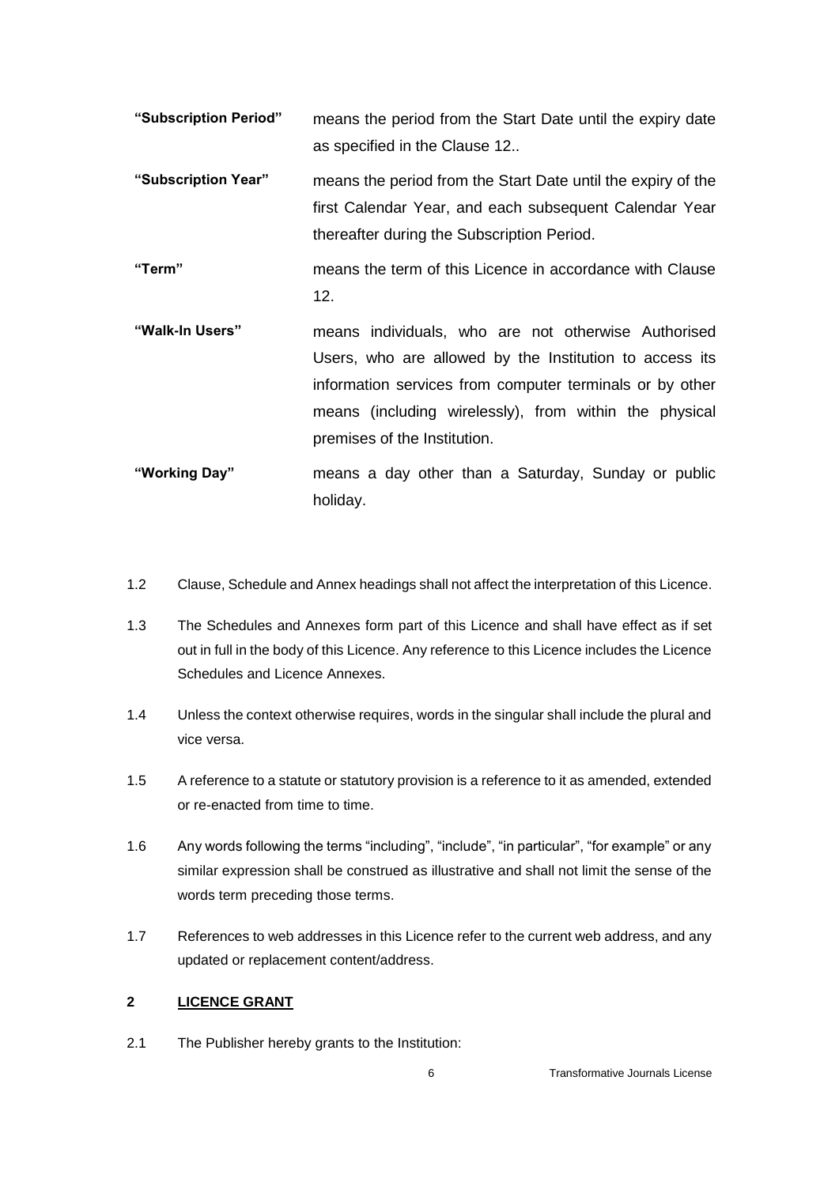- **"Subscription Period"** means the period from the Start Date until the expiry date as specified in the Clause 12..
- **"Subscription Year"** means the period from the Start Date until the expiry of the first Calendar Year, and each subsequent Calendar Year thereafter during the Subscription Period.
- **"Term"** means the term of this Licence in accordance with Clause 12.
- **"Walk-In Users"** means individuals, who are not otherwise Authorised Users, who are allowed by the Institution to access its information services from computer terminals or by other means (including wirelessly), from within the physical premises of the Institution.
- **"Working Day"** means a day other than a Saturday, Sunday or public holiday.
- 1.2 Clause, Schedule and Annex headings shall not affect the interpretation of this Licence.
- 1.3 The Schedules and Annexes form part of this Licence and shall have effect as if set out in full in the body of this Licence. Any reference to this Licence includes the Licence Schedules and Licence Annexes.
- 1.4 Unless the context otherwise requires, words in the singular shall include the plural and vice versa.
- 1.5 A reference to a statute or statutory provision is a reference to it as amended, extended or re-enacted from time to time.
- 1.6 Any words following the terms "including", "include", "in particular", "for example" or any similar expression shall be construed as illustrative and shall not limit the sense of the words term preceding those terms.
- 1.7 References to web addresses in this Licence refer to the current web address, and any updated or replacement content/address.

## **2 LICENCE GRANT**

2.1 The Publisher hereby grants to the Institution: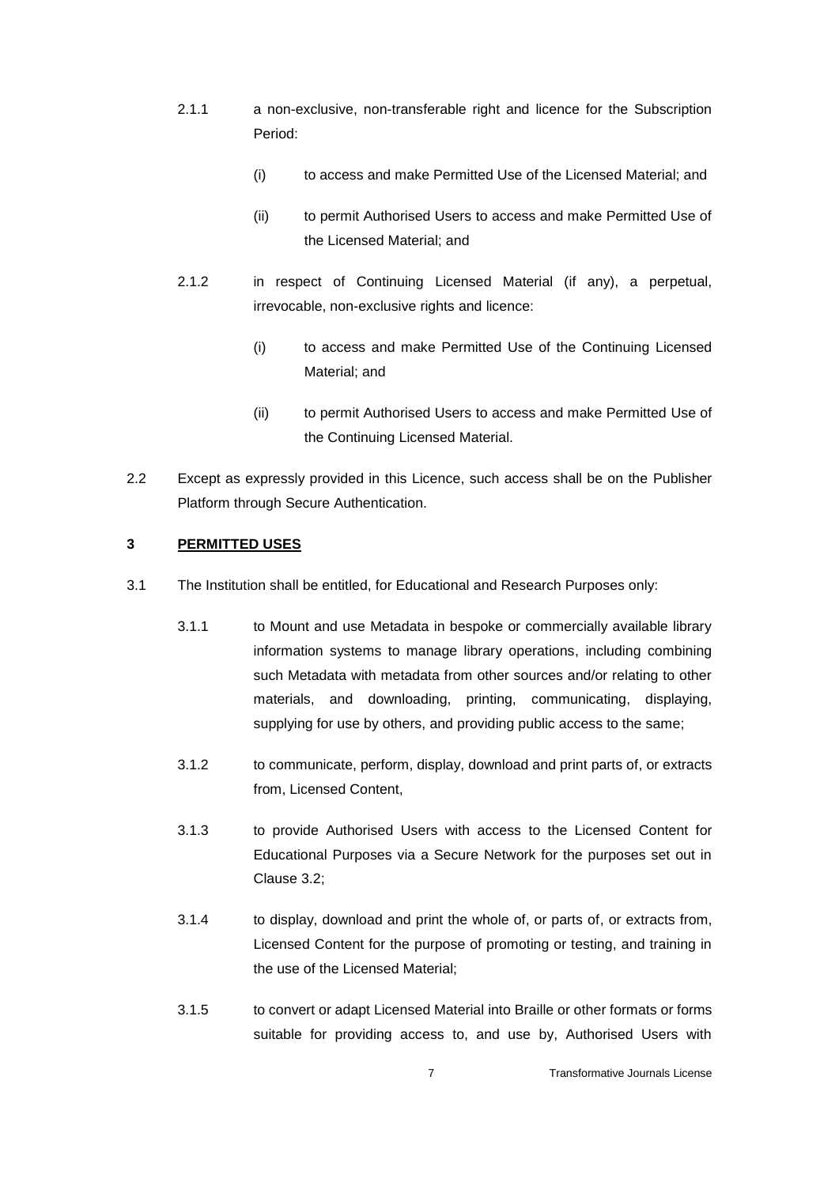- <span id="page-7-1"></span>2.1.1 a non-exclusive, non-transferable right and licence for the Subscription Period:
	- (i) to access and make Permitted Use of the Licensed Material; and
	- (ii) to permit Authorised Users to access and make Permitted Use of the Licensed Material; and
- <span id="page-7-0"></span>2.1.2 in respect of Continuing Licensed Material (if any), a perpetual, irrevocable, non-exclusive rights and licence:
	- (i) to access and make Permitted Use of the Continuing Licensed Material; and
	- (ii) to permit Authorised Users to access and make Permitted Use of the Continuing Licensed Material.
- <span id="page-7-4"></span>2.2 Except as expressly provided in this Licence, such access shall be on the Publisher Platform through Secure Authentication.

## <span id="page-7-2"></span>**3 PERMITTED USES**

- <span id="page-7-5"></span><span id="page-7-3"></span>3.1 The Institution shall be entitled, for Educational and Research Purposes only:
	- 3.1.1 to Mount and use Metadata in bespoke or commercially available library information systems to manage library operations, including combining such Metadata with metadata from other sources and/or relating to other materials, and downloading, printing, communicating, displaying, supplying for use by others, and providing public access to the same;
	- 3.1.2 to communicate, perform, display, download and print parts of, or extracts from, Licensed Content,
	- 3.1.3 to provide Authorised Users with access to the Licensed Content for Educational Purposes via a Secure Network for the purposes set out in Clause [3.2;](#page-8-0)
	- 3.1.4 to display, download and print the whole of, or parts of, or extracts from, Licensed Content for the purpose of promoting or testing, and training in the use of the Licensed Material;
	- 3.1.5 to convert or adapt Licensed Material into Braille or other formats or forms suitable for providing access to, and use by, Authorised Users with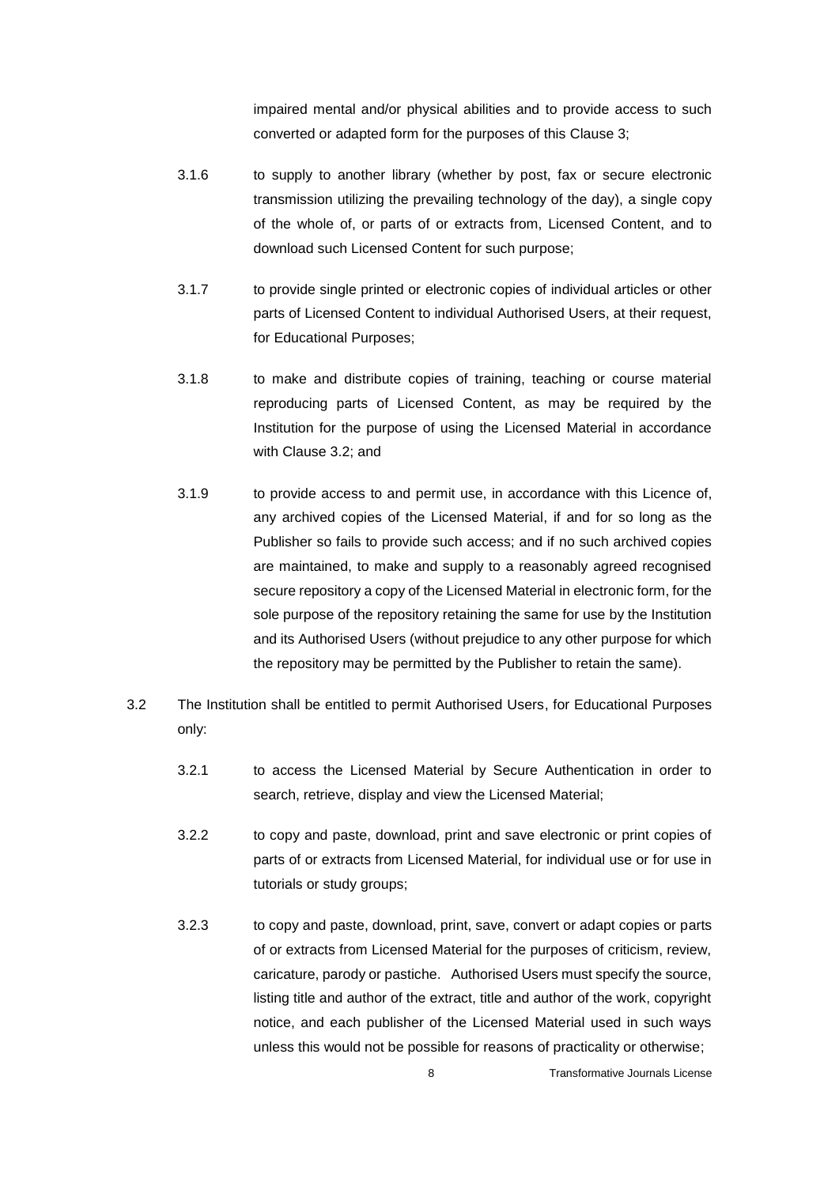impaired mental and/or physical abilities and to provide access to such converted or adapted form for the purposes of this Clause [3;](#page-7-2)

- 3.1.6 to supply to another library (whether by post, fax or secure electronic transmission utilizing the prevailing technology of the day), a single copy of the whole of, or parts of or extracts from, Licensed Content, and to download such Licensed Content for such purpose;
- 3.1.7 to provide single printed or electronic copies of individual articles or other parts of Licensed Content to individual Authorised Users, at their request, for Educational Purposes;
- 3.1.8 to make and distribute copies of training, teaching or course material reproducing parts of Licensed Content, as may be required by the Institution for the purpose of using the Licensed Material in accordance with Clause [3.2;](#page-8-0) and
- <span id="page-8-1"></span>3.1.9 to provide access to and permit use, in accordance with this Licence of, any archived copies of the Licensed Material, if and for so long as the Publisher so fails to provide such access; and if no such archived copies are maintained, to make and supply to a reasonably agreed recognised secure repository a copy of the Licensed Material in electronic form, for the sole purpose of the repository retaining the same for use by the Institution and its Authorised Users (without prejudice to any other purpose for which the repository may be permitted by the Publisher to retain the same).
- <span id="page-8-0"></span>3.2 The Institution shall be entitled to permit Authorised Users, for Educational Purposes only:
	- 3.2.1 to access the Licensed Material by Secure Authentication in order to search, retrieve, display and view the Licensed Material;
	- 3.2.2 to copy and paste, download, print and save electronic or print copies of parts of or extracts from Licensed Material, for individual use or for use in tutorials or study groups;
	- 3.2.3 to copy and paste, download, print, save, convert or adapt copies or parts of or extracts from Licensed Material for the purposes of criticism, review, caricature, parody or pastiche. Authorised Users must specify the source, listing title and author of the extract, title and author of the work, copyright notice, and each publisher of the Licensed Material used in such ways unless this would not be possible for reasons of practicality or otherwise;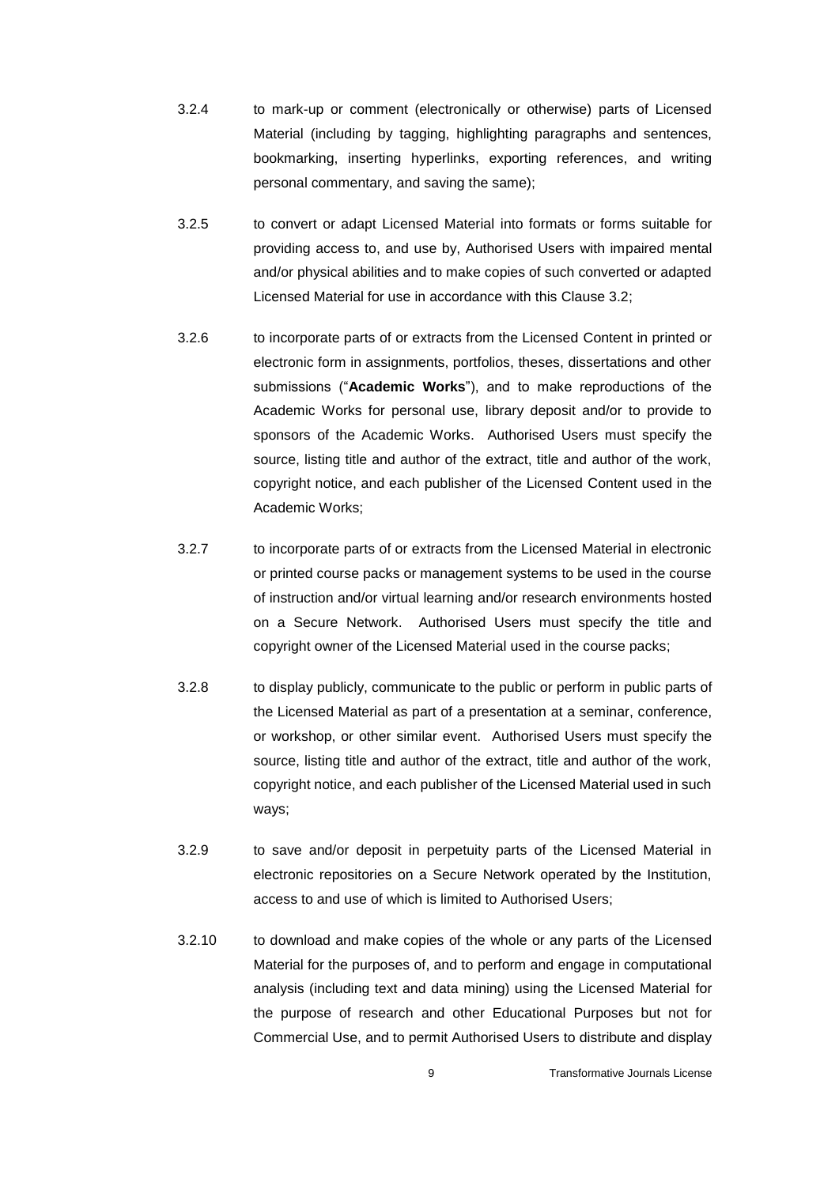- 3.2.4 to mark-up or comment (electronically or otherwise) parts of Licensed Material (including by tagging, highlighting paragraphs and sentences, bookmarking, inserting hyperlinks, exporting references, and writing personal commentary, and saving the same);
- 3.2.5 to convert or adapt Licensed Material into formats or forms suitable for providing access to, and use by, Authorised Users with impaired mental and/or physical abilities and to make copies of such converted or adapted Licensed Material for use in accordance with this Clause [3.2;](#page-8-0)
- 3.2.6 to incorporate parts of or extracts from the Licensed Content in printed or electronic form in assignments, portfolios, theses, dissertations and other submissions ("**Academic Works**"), and to make reproductions of the Academic Works for personal use, library deposit and/or to provide to sponsors of the Academic Works. Authorised Users must specify the source, listing title and author of the extract, title and author of the work, copyright notice, and each publisher of the Licensed Content used in the Academic Works;
- 3.2.7 to incorporate parts of or extracts from the Licensed Material in electronic or printed course packs or management systems to be used in the course of instruction and/or virtual learning and/or research environments hosted on a Secure Network. Authorised Users must specify the title and copyright owner of the Licensed Material used in the course packs;
- 3.2.8 to display publicly, communicate to the public or perform in public parts of the Licensed Material as part of a presentation at a seminar, conference, or workshop, or other similar event. Authorised Users must specify the source, listing title and author of the extract, title and author of the work, copyright notice, and each publisher of the Licensed Material used in such ways;
- 3.2.9 to save and/or deposit in perpetuity parts of the Licensed Material in electronic repositories on a Secure Network operated by the Institution, access to and use of which is limited to Authorised Users;
- <span id="page-9-1"></span><span id="page-9-0"></span>3.2.10 to download and make copies of the whole or any parts of the Licensed Material for the purposes of, and to perform and engage in computational analysis (including text and data mining) using the Licensed Material for the purpose of research and other Educational Purposes but not for Commercial Use, and to permit Authorised Users to distribute and display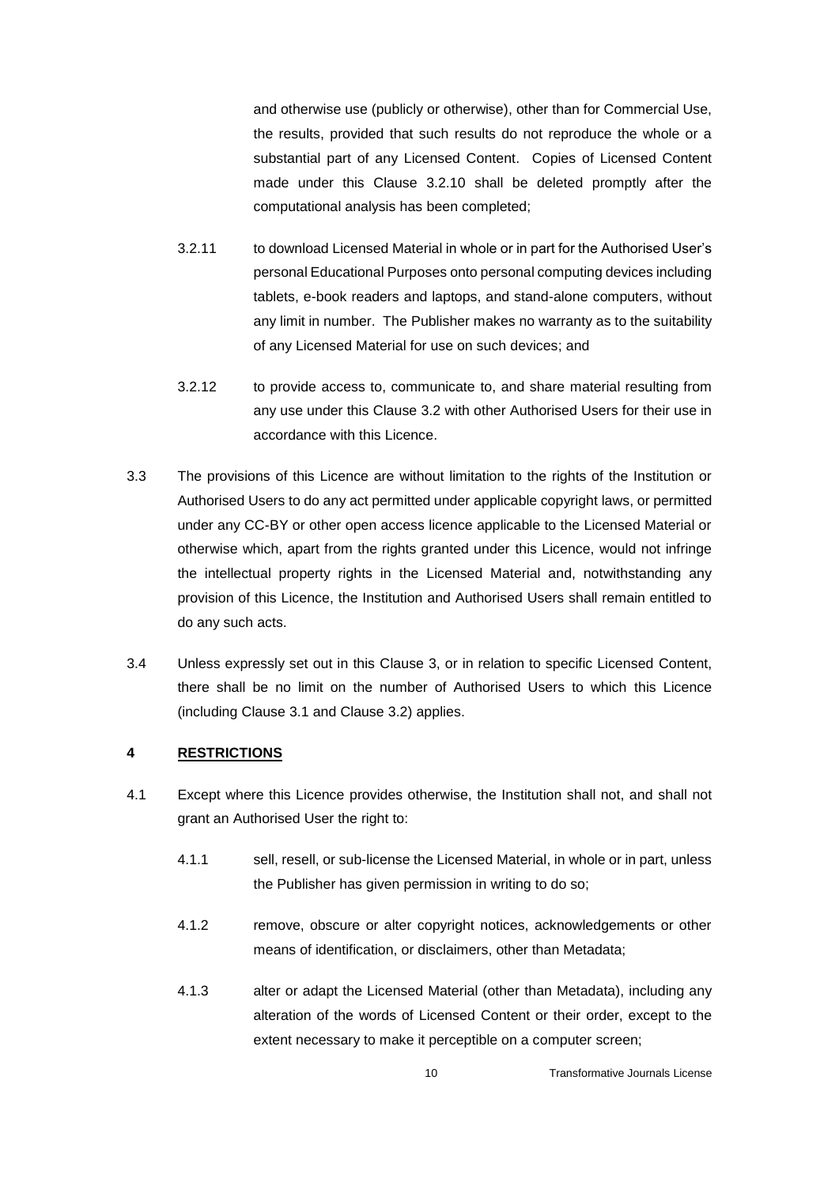and otherwise use (publicly or otherwise), other than for Commercial Use, the results, provided that such results do not reproduce the whole or a substantial part of any Licensed Content. Copies of Licensed Content made under this Clause [3.2.10](#page-9-0) shall be deleted promptly after the computational analysis has been completed;

- 3.2.11 to download Licensed Material in whole or in part for the Authorised User's personal Educational Purposes onto personal computing devices including tablets, e-book readers and laptops, and stand-alone computers, without any limit in number. The Publisher makes no warranty as to the suitability of any Licensed Material for use on such devices; and
- 3.2.12 to provide access to, communicate to, and share material resulting from any use under this Clause [3.2](#page-8-0) with other Authorised Users for their use in accordance with this Licence.
- 3.3 The provisions of this Licence are without limitation to the rights of the Institution or Authorised Users to do any act permitted under applicable copyright laws, or permitted under any CC-BY or other open access licence applicable to the Licensed Material or otherwise which, apart from the rights granted under this Licence, would not infringe the intellectual property rights in the Licensed Material and, notwithstanding any provision of this Licence, the Institution and Authorised Users shall remain entitled to do any such acts.
- 3.4 Unless expressly set out in this Clause [3,](#page-7-2) or in relation to specific Licensed Content, there shall be no limit on the number of Authorised Users to which this Licence (including Clause [3.1](#page-7-3) and Clause [3.2\)](#page-8-0) applies.

## <span id="page-10-0"></span>**4 RESTRICTIONS**

- 4.1 Except where this Licence provides otherwise, the Institution shall not, and shall not grant an Authorised User the right to:
	- 4.1.1 sell, resell, or sub-license the Licensed Material, in whole or in part, unless the Publisher has given permission in writing to do so;
	- 4.1.2 remove, obscure or alter copyright notices, acknowledgements or other means of identification, or disclaimers, other than Metadata;
	- 4.1.3 alter or adapt the Licensed Material (other than Metadata), including any alteration of the words of Licensed Content or their order, except to the extent necessary to make it perceptible on a computer screen;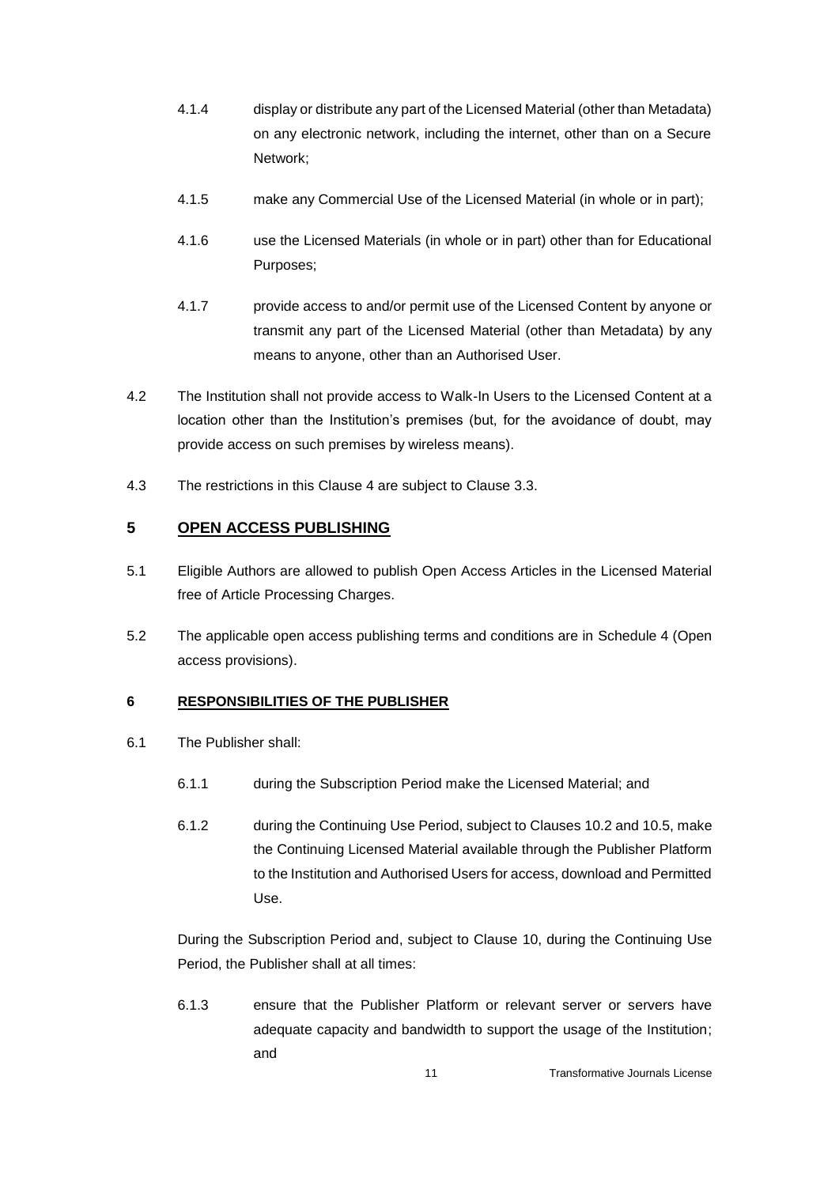- 4.1.4 display or distribute any part of the Licensed Material (other than Metadata) on any electronic network, including the internet, other than on a Secure Network;
- 4.1.5 make any Commercial Use of the Licensed Material (in whole or in part);
- 4.1.6 use the Licensed Materials (in whole or in part) other than for Educational Purposes;
- 4.1.7 provide access to and/or permit use of the Licensed Content by anyone or transmit any part of the Licensed Material (other than Metadata) by any means to anyone, other than an Authorised User.
- 4.2 The Institution shall not provide access to Walk-In Users to the Licensed Content at a location other than the Institution's premises (but, for the avoidance of doubt, may provide access on such premises by wireless means).
- 4.3 The restrictions in this Clause [4](#page-10-0) are subject to Clause 3.3.

### **5 OPEN ACCESS PUBLISHING**

- 5.1 Eligible Authors are allowed to publish Open Access Articles in the Licensed Material free of Article Processing Charges.
- 5.2 The applicable open access publishing terms and conditions are in Schedule 4 (Open access provisions).

### <span id="page-11-2"></span>**6 RESPONSIBILITIES OF THE PUBLISHER**

- <span id="page-11-1"></span><span id="page-11-0"></span>6.1 The Publisher shall:
	- 6.1.1 during the Subscription Period make the Licensed Material; and
	- 6.1.2 during the Continuing Use Period, subject to Clauses [10.2](#page-15-1) and [10.5,](#page-16-0) make the Continuing Licensed Material available through the Publisher Platform to the Institution and Authorised Users for access, download and Permitted Use.

<span id="page-11-3"></span>During the Subscription Period and, subject to Clause 10, during the Continuing Use Period, the Publisher shall at all times:

6.1.3 ensure that the Publisher Platform or relevant server or servers have adequate capacity and bandwidth to support the usage of the Institution; and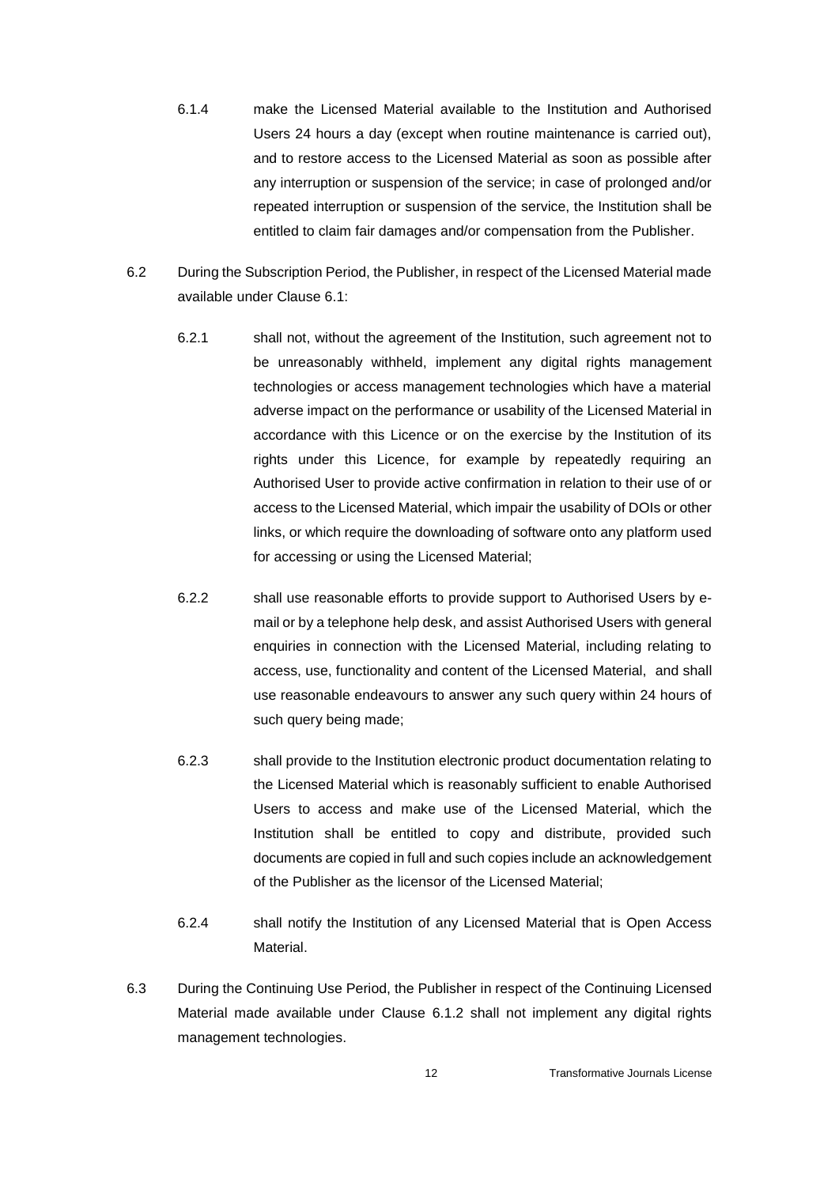- 6.1.4 make the Licensed Material available to the Institution and Authorised Users 24 hours a day (except when routine maintenance is carried out), and to restore access to the Licensed Material as soon as possible after any interruption or suspension of the service; in case of prolonged and/or repeated interruption or suspension of the service, the Institution shall be entitled to claim fair damages and/or compensation from the Publisher.
- 6.2 During the Subscription Period, the Publisher, in respect of the Licensed Material made available under Clause [6.1:](#page-11-0)
	- 6.2.1 shall not, without the agreement of the Institution, such agreement not to be unreasonably withheld, implement any digital rights management technologies or access management technologies which have a material adverse impact on the performance or usability of the Licensed Material in accordance with this Licence or on the exercise by the Institution of its rights under this Licence, for example by repeatedly requiring an Authorised User to provide active confirmation in relation to their use of or access to the Licensed Material, which impair the usability of DOIs or other links, or which require the downloading of software onto any platform used for accessing or using the Licensed Material;
	- 6.2.2 shall use reasonable efforts to provide support to Authorised Users by email or by a telephone help desk, and assist Authorised Users with general enquiries in connection with the Licensed Material, including relating to access, use, functionality and content of the Licensed Material, and shall use reasonable endeavours to answer any such query within 24 hours of such query being made;
	- 6.2.3 shall provide to the Institution electronic product documentation relating to the Licensed Material which is reasonably sufficient to enable Authorised Users to access and make use of the Licensed Material, which the Institution shall be entitled to copy and distribute, provided such documents are copied in full and such copies include an acknowledgement of the Publisher as the licensor of the Licensed Material;
	- 6.2.4 shall notify the Institution of any Licensed Material that is Open Access Material.
- <span id="page-12-0"></span>6.3 During the Continuing Use Period, the Publisher in respect of the Continuing Licensed Material made available under Clause [6.1.2](#page-11-1) shall not implement any digital rights management technologies.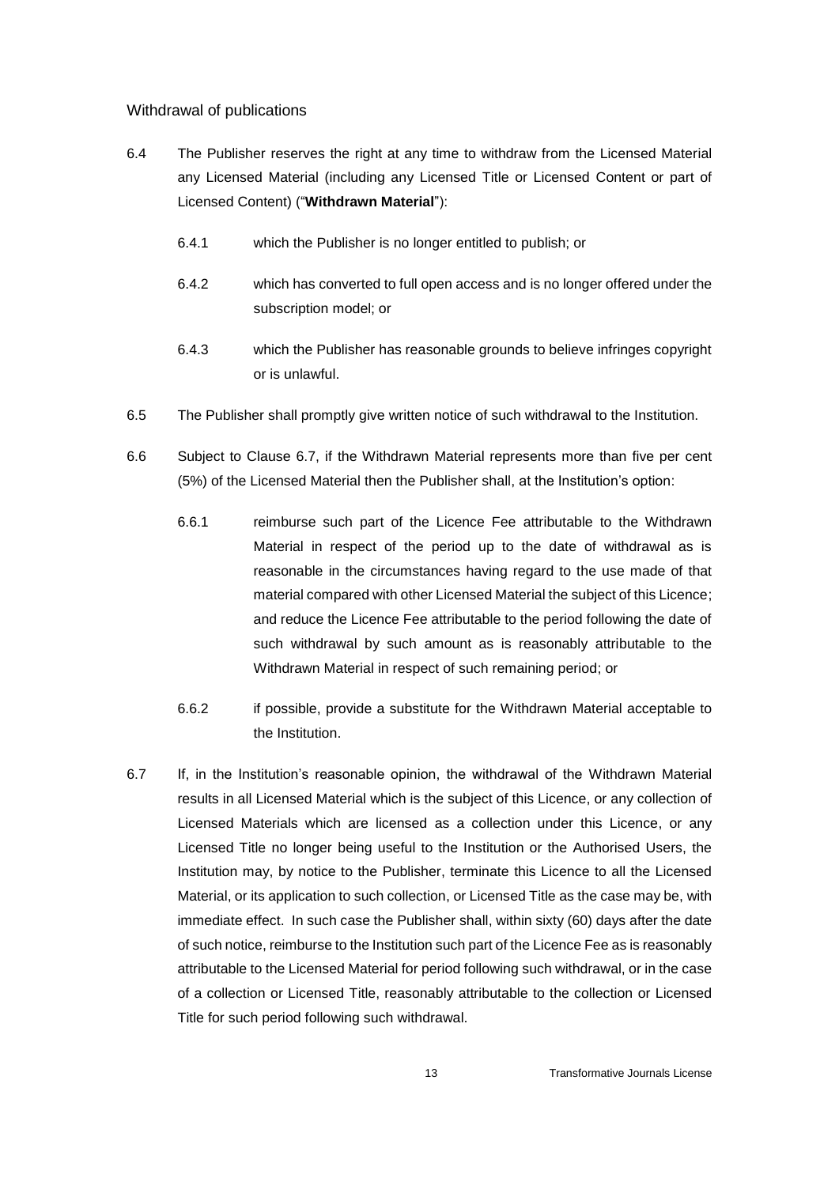#### Withdrawal of publications

- <span id="page-13-1"></span>6.4 The Publisher reserves the right at any time to withdraw from the Licensed Material any Licensed Material (including any Licensed Title or Licensed Content or part of Licensed Content) ("**Withdrawn Material**"):
	- 6.4.1 which the Publisher is no longer entitled to publish; or
	- 6.4.2 which has converted to full open access and is no longer offered under the subscription model; or
	- 6.4.3 which the Publisher has reasonable grounds to believe infringes copyright or is unlawful.
- 6.5 The Publisher shall promptly give written notice of such withdrawal to the Institution.
- 6.6 Subject to Clause 6.7, if the Withdrawn Material represents more than five per cent (5%) of the Licensed Material then the Publisher shall, at the Institution's option:
	- 6.6.1 reimburse such part of the Licence Fee attributable to the Withdrawn Material in respect of the period up to the date of withdrawal as is reasonable in the circumstances having regard to the use made of that material compared with other Licensed Material the subject of this Licence; and reduce the Licence Fee attributable to the period following the date of such withdrawal by such amount as is reasonably attributable to the Withdrawn Material in respect of such remaining period; or
	- 6.6.2 if possible, provide a substitute for the Withdrawn Material acceptable to the Institution.
- <span id="page-13-0"></span>6.7 If, in the Institution's reasonable opinion, the withdrawal of the Withdrawn Material results in all Licensed Material which is the subject of this Licence, or any collection of Licensed Materials which are licensed as a collection under this Licence, or any Licensed Title no longer being useful to the Institution or the Authorised Users, the Institution may, by notice to the Publisher, terminate this Licence to all the Licensed Material, or its application to such collection, or Licensed Title as the case may be, with immediate effect. In such case the Publisher shall, within sixty (60) days after the date of such notice, reimburse to the Institution such part of the Licence Fee as is reasonably attributable to the Licensed Material for period following such withdrawal, or in the case of a collection or Licensed Title, reasonably attributable to the collection or Licensed Title for such period following such withdrawal.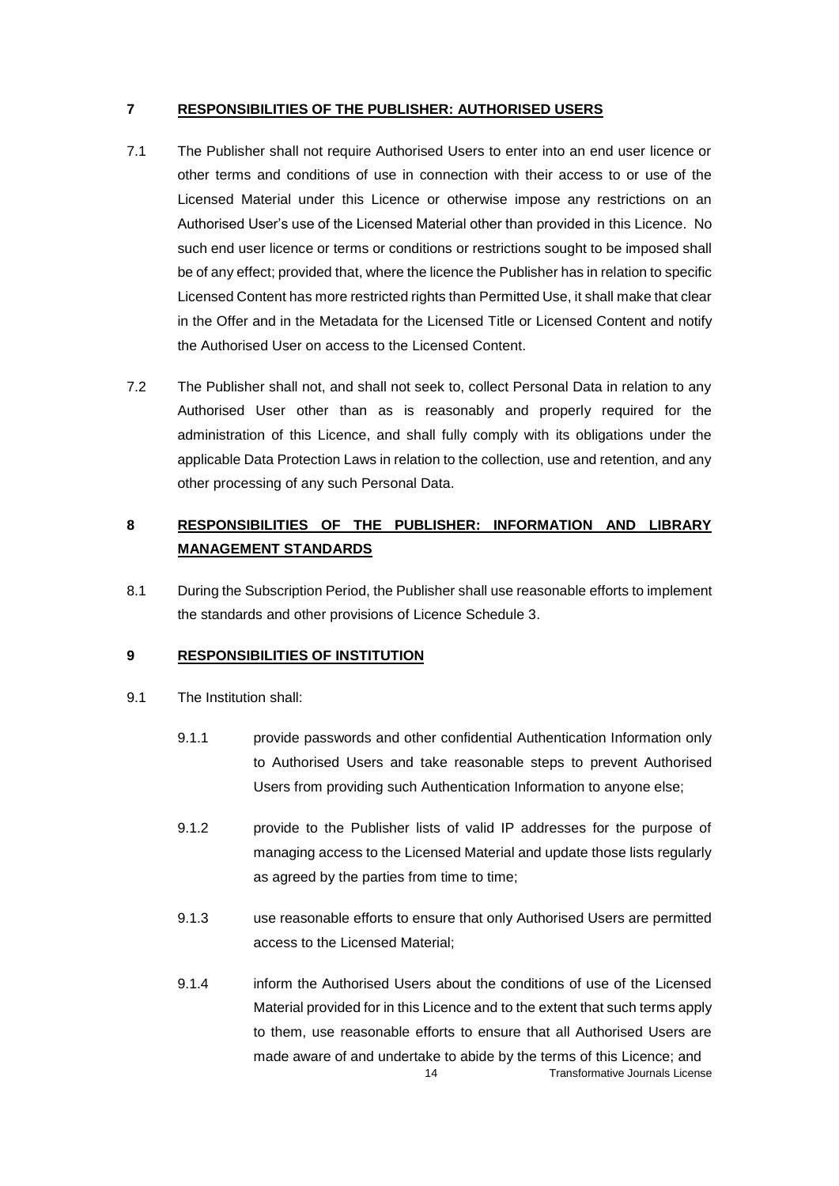#### <span id="page-14-0"></span>**7 RESPONSIBILITIES OF THE PUBLISHER: AUTHORISED USERS**

- 7.1 The Publisher shall not require Authorised Users to enter into an end user licence or other terms and conditions of use in connection with their access to or use of the Licensed Material under this Licence or otherwise impose any restrictions on an Authorised User's use of the Licensed Material other than provided in this Licence. No such end user licence or terms or conditions or restrictions sought to be imposed shall be of any effect; provided that, where the licence the Publisher has in relation to specific Licensed Content has more restricted rights than Permitted Use, it shall make that clear in the Offer and in the Metadata for the Licensed Title or Licensed Content and notify the Authorised User on access to the Licensed Content.
- 7.2 The Publisher shall not, and shall not seek to, collect Personal Data in relation to any Authorised User other than as is reasonably and properly required for the administration of this Licence, and shall fully comply with its obligations under the applicable Data Protection Laws in relation to the collection, use and retention, and any other processing of any such Personal Data.

# **8 RESPONSIBILITIES OF THE PUBLISHER: INFORMATION AND LIBRARY MANAGEMENT STANDARDS**

8.1 During the Subscription Period, the Publisher shall use reasonable efforts to implement the standards and other provisions of [Licence Schedule 3.](#page-30-0)

#### <span id="page-14-1"></span>**9 RESPONSIBILITIES OF INSTITUTION**

- 9.1 The Institution shall:
	- 9.1.1 provide passwords and other confidential Authentication Information only to Authorised Users and take reasonable steps to prevent Authorised Users from providing such Authentication Information to anyone else;
	- 9.1.2 provide to the Publisher lists of valid IP addresses for the purpose of managing access to the Licensed Material and update those lists regularly as agreed by the parties from time to time;
	- 9.1.3 use reasonable efforts to ensure that only Authorised Users are permitted access to the Licensed Material;
	- 14 Transformative Journals License 9.1.4 inform the Authorised Users about the conditions of use of the Licensed Material provided for in this Licence and to the extent that such terms apply to them, use reasonable efforts to ensure that all Authorised Users are made aware of and undertake to abide by the terms of this Licence; and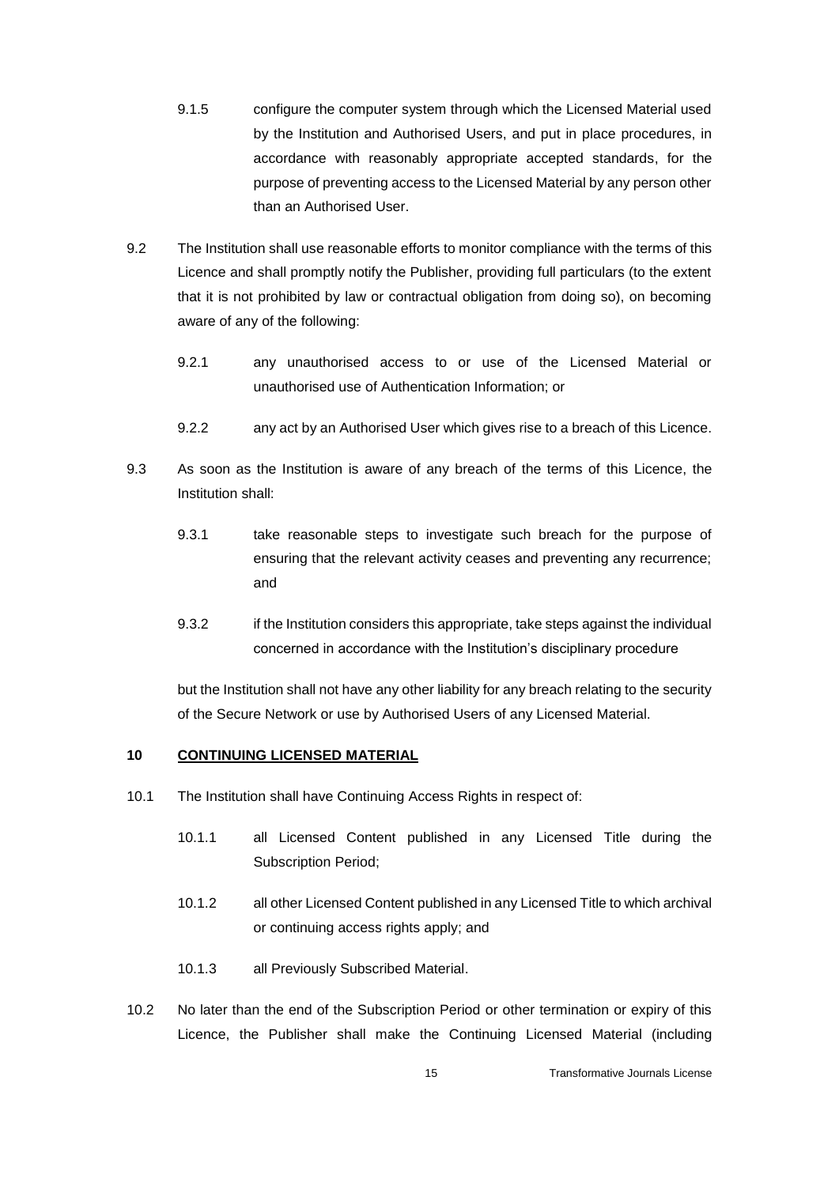- 9.1.5 configure the computer system through which the Licensed Material used by the Institution and Authorised Users, and put in place procedures, in accordance with reasonably appropriate accepted standards, for the purpose of preventing access to the Licensed Material by any person other than an Authorised User.
- 9.2 The Institution shall use reasonable efforts to monitor compliance with the terms of this Licence and shall promptly notify the Publisher, providing full particulars (to the extent that it is not prohibited by law or contractual obligation from doing so), on becoming aware of any of the following:
	- 9.2.1 any unauthorised access to or use of the Licensed Material or unauthorised use of Authentication Information; or
	- 9.2.2 any act by an Authorised User which gives rise to a breach of this Licence.
- 9.3 As soon as the Institution is aware of any breach of the terms of this Licence, the Institution shall:
	- 9.3.1 take reasonable steps to investigate such breach for the purpose of ensuring that the relevant activity ceases and preventing any recurrence; and
	- 9.3.2 if the Institution considers this appropriate, take steps against the individual concerned in accordance with the Institution's disciplinary procedure

but the Institution shall not have any other liability for any breach relating to the security of the Secure Network or use by Authorised Users of any Licensed Material.

### <span id="page-15-0"></span>**10 CONTINUING LICENSED MATERIAL**

- 10.1 The Institution shall have Continuing Access Rights in respect of:
	- 10.1.1 all Licensed Content published in any Licensed Title during the Subscription Period;
	- 10.1.2 all other Licensed Content published in any Licensed Title to which archival or continuing access rights apply; and
	- 10.1.3 all Previously Subscribed Material.
- <span id="page-15-1"></span>10.2 No later than the end of the Subscription Period or other termination or expiry of this Licence, the Publisher shall make the Continuing Licensed Material (including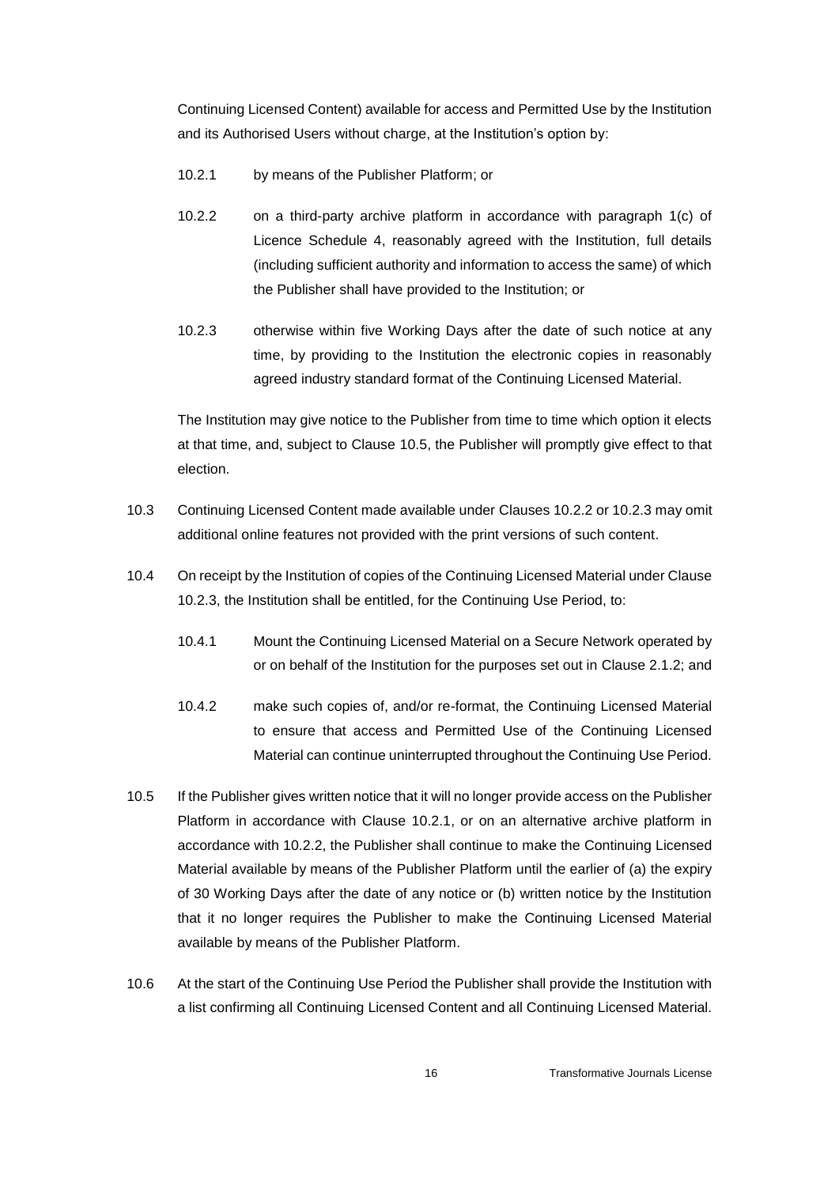Continuing Licensed Content) available for access and Permitted Use by the Institution and its Authorised Users without charge, at the Institution's option by:

- <span id="page-16-2"></span>10.2.1 by means of the Publisher Platform; or
- <span id="page-16-3"></span>10.2.2 on a third-party archive platform in accordance with paragraph 1(c) of Licence Schedule 4, reasonably agreed with the Institution, full details (including sufficient authority and information to access the same) of which the Publisher shall have provided to the Institution; or
- <span id="page-16-1"></span>10.2.3 otherwise within five Working Days after the date of such notice at any time, by providing to the Institution the electronic copies in reasonably agreed industry standard format of the Continuing Licensed Material.

The Institution may give notice to the Publisher from time to time which option it elects at that time, and, subject to Clause [10.5,](#page-16-0) the Publisher will promptly give effect to that election.

- 10.3 Continuing Licensed Content made available under Clauses 10.2.2 o[r 10.2.3](#page-16-1) may omit additional online features not provided with the print versions of such content.
- <span id="page-16-4"></span>10.4 On receipt by the Institution of copies of the Continuing Licensed Material under Clause [10.2.3,](#page-16-1) the Institution shall be entitled, for the Continuing Use Period, to:
	- 10.4.1 Mount the Continuing Licensed Material on a Secure Network operated by or on behalf of the Institution for the purposes set out in Clause [2.1.2;](#page-7-0) and
	- 10.4.2 make such copies of, and/or re-format, the Continuing Licensed Material to ensure that access and Permitted Use of the Continuing Licensed Material can continue uninterrupted throughout the Continuing Use Period.
- <span id="page-16-0"></span>10.5 If the Publisher gives written notice that it will no longer provide access on the Publisher Platform in accordance with Clause [10.2.1,](#page-16-2) or on an alternative archive platform in accordance with [10.2.2,](#page-16-3) the Publisher shall continue to make the Continuing Licensed Material available by means of the Publisher Platform until the earlier of (a) the expiry of 30 Working Days after the date of any notice or (b) written notice by the Institution that it no longer requires the Publisher to make the Continuing Licensed Material available by means of the Publisher Platform.
- 10.6 At the start of the Continuing Use Period the Publisher shall provide the Institution with a list confirming all Continuing Licensed Content and all Continuing Licensed Material.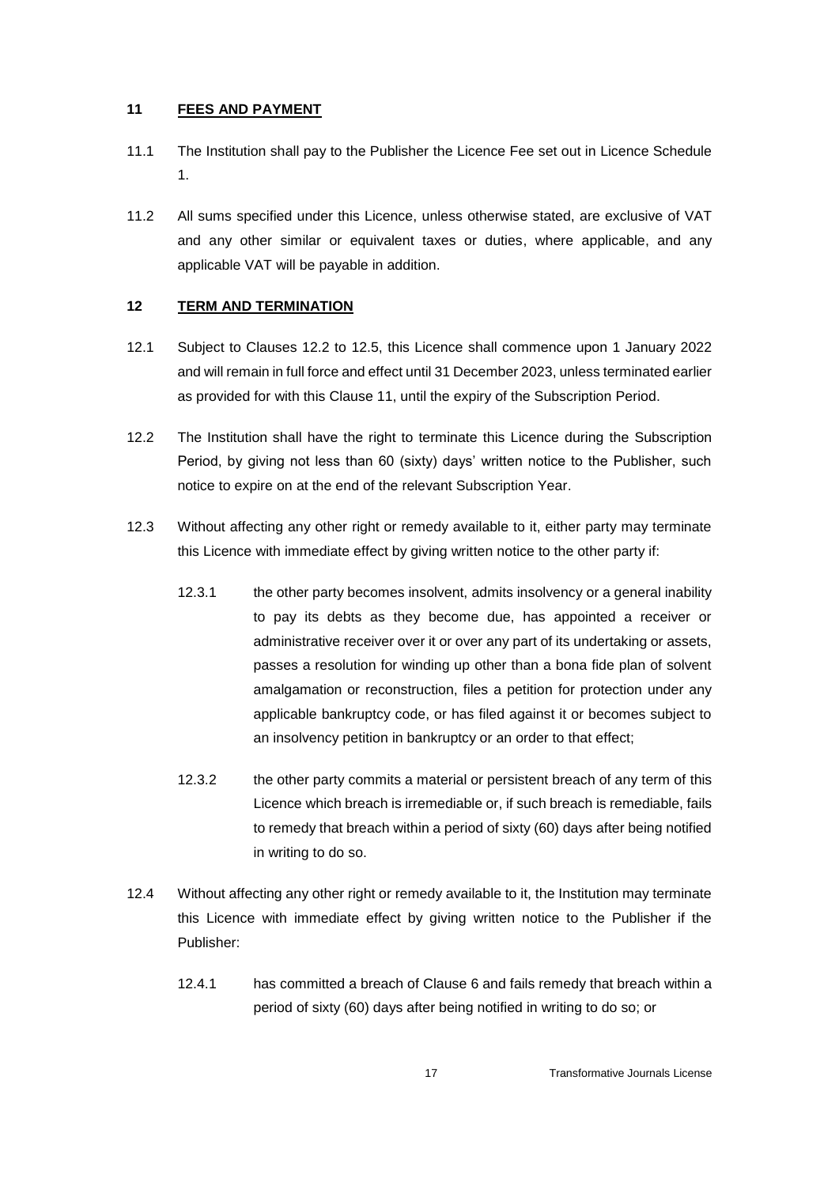#### **11 FEES AND PAYMENT**

- 11.1 The Institution shall pay to the Publisher the Licence Fee set out in [Licence Schedule](#page-27-0)  [1.](#page-27-0)
- 11.2 All sums specified under this Licence, unless otherwise stated, are exclusive of VAT and any other similar or equivalent taxes or duties, where applicable, and any applicable VAT will be payable in addition.

### **12 TERM AND TERMINATION**

- 12.1 Subject to Clauses [12.2](#page-17-0) to [12.5,](#page-18-0) this Licence shall commence upon 1 January 2022 and will remain in full force and effect until 31 December 2023, unless terminated earlier as provided for with this Clause 11, until the expiry of the Subscription Period.
- <span id="page-17-0"></span>12.2 The Institution shall have the right to terminate this Licence during the Subscription Period, by giving not less than 60 (sixty) days' written notice to the Publisher, such notice to expire on at the end of the relevant Subscription Year.
- <span id="page-17-1"></span>12.3 Without affecting any other right or remedy available to it, either party may terminate this Licence with immediate effect by giving written notice to the other party if:
	- 12.3.1 the other party becomes insolvent, admits insolvency or a general inability to pay its debts as they become due, has appointed a receiver or administrative receiver over it or over any part of its undertaking or assets, passes a resolution for winding up other than a bona fide plan of solvent amalgamation or reconstruction, files a petition for protection under any applicable bankruptcy code, or has filed against it or becomes subject to an insolvency petition in bankruptcy or an order to that effect;
	- 12.3.2 the other party commits a material or persistent breach of any term of this Licence which breach is irremediable or, if such breach is remediable, fails to remedy that breach within a period of sixty (60) days after being notified in writing to do so.
- <span id="page-17-2"></span>12.4 Without affecting any other right or remedy available to it, the Institution may terminate this Licence with immediate effect by giving written notice to the Publisher if the Publisher:
	- 12.4.1 has committed a breach of Clause [6](#page-11-2) and fails remedy that breach within a period of sixty (60) days after being notified in writing to do so; or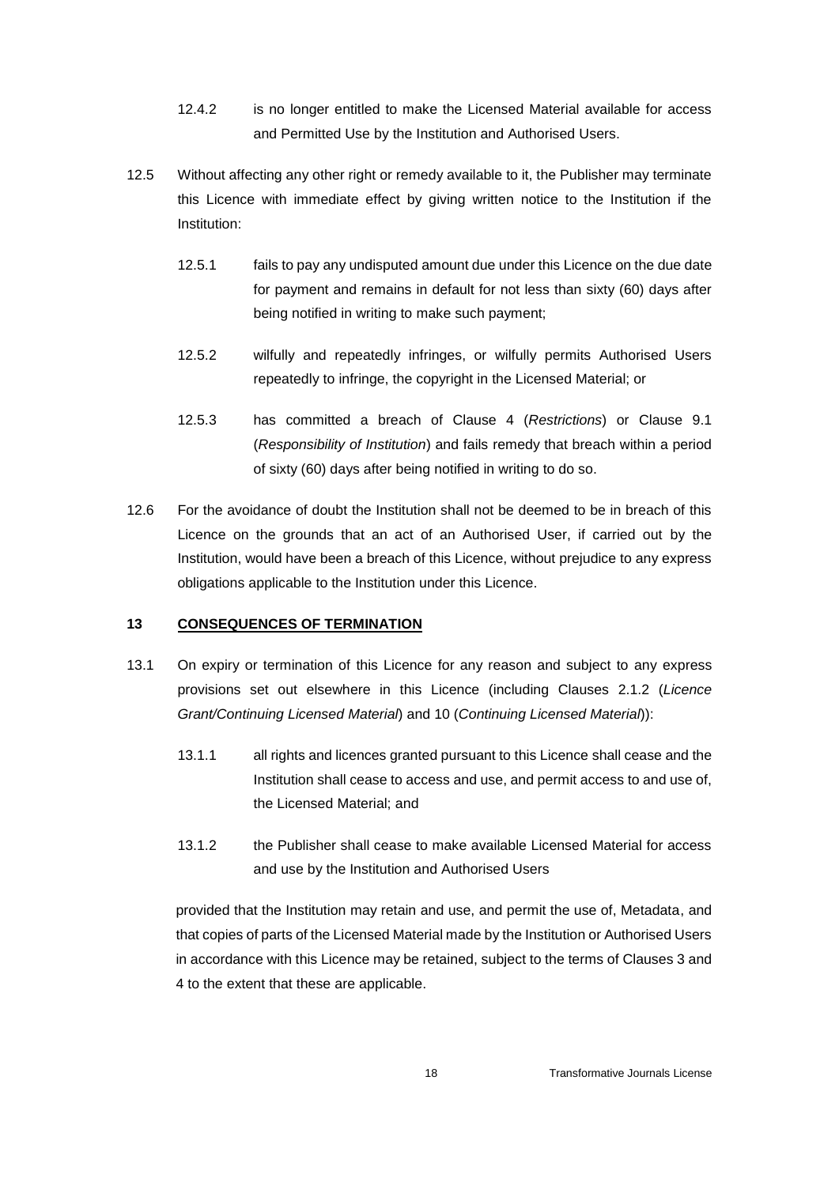- 12.4.2 is no longer entitled to make the Licensed Material available for access and Permitted Use by the Institution and Authorised Users.
- <span id="page-18-0"></span>12.5 Without affecting any other right or remedy available to it, the Publisher may terminate this Licence with immediate effect by giving written notice to the Institution if the Institution:
	- 12.5.1 fails to pay any undisputed amount due under this Licence on the due date for payment and remains in default for not less than sixty (60) days after being notified in writing to make such payment;
	- 12.5.2 wilfully and repeatedly infringes, or wilfully permits Authorised Users repeatedly to infringe, the copyright in the Licensed Material; or
	- 12.5.3 has committed a breach of Clause [4](#page-10-0) (*Restrictions*) or Clause 9.1 (*Responsibility of Institution*) and fails remedy that breach within a period of sixty (60) days after being notified in writing to do so.
- 12.6 For the avoidance of doubt the Institution shall not be deemed to be in breach of this Licence on the grounds that an act of an Authorised User, if carried out by the Institution, would have been a breach of this Licence, without prejudice to any express obligations applicable to the Institution under this Licence.

### **13 CONSEQUENCES OF TERMINATION**

- 13.1 On expiry or termination of this Licence for any reason and subject to any express provisions set out elsewhere in this Licence (including Clauses [2.1.2](#page-7-0) (*Licence Grant/Continuing Licensed Material*) and [10](#page-15-0) (*Continuing Licensed Material*)):
	- 13.1.1 all rights and licences granted pursuant to this Licence shall cease and the Institution shall cease to access and use, and permit access to and use of, the Licensed Material; and
	- 13.1.2 the Publisher shall cease to make available Licensed Material for access and use by the Institution and Authorised Users

provided that the Institution may retain and use, and permit the use of, Metadata, and that copies of parts of the Licensed Material made by the Institution or Authorised Users in accordance with this Licence may be retained, subject to the terms of Clauses 3 and 4 to the extent that these are applicable.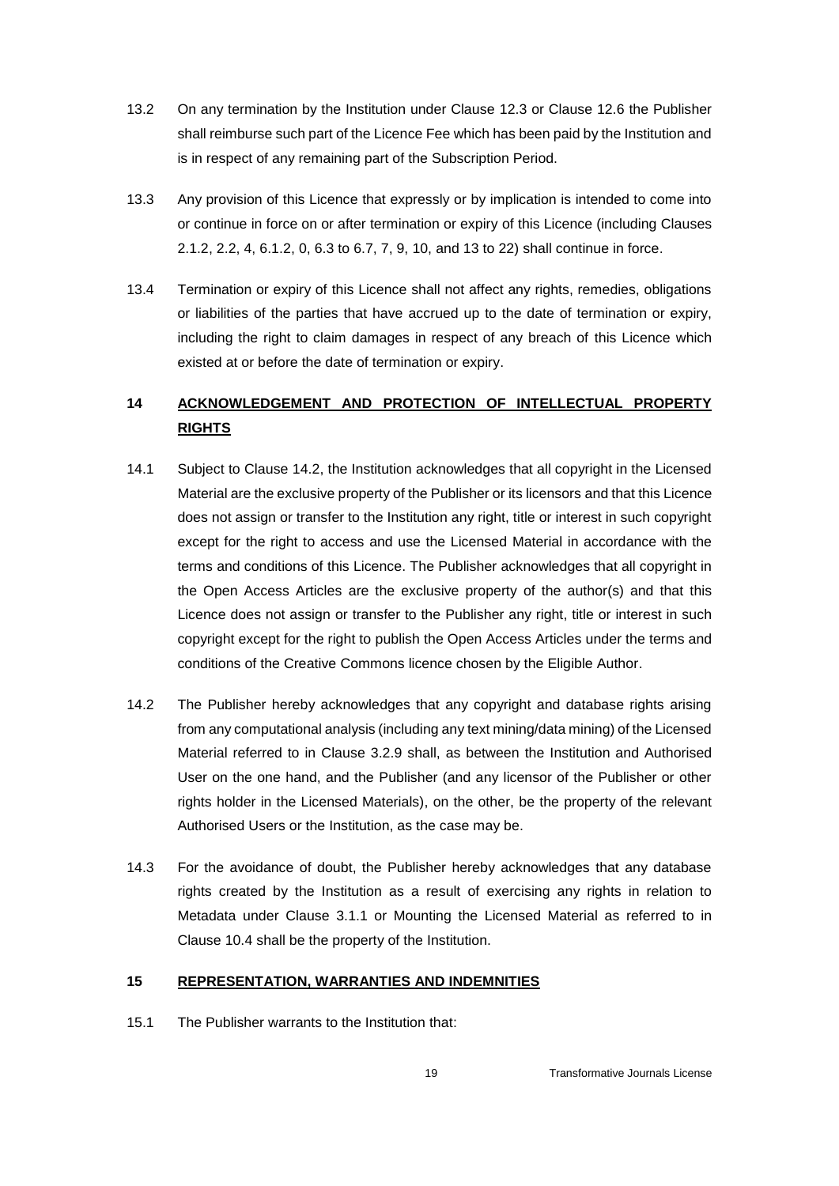- 13.2 On any termination by the Institution under Clause [12.3](#page-17-1) or Clause 12.6 the Publisher shall reimburse such part of the Licence Fee which has been paid by the Institution and is in respect of any remaining part of the Subscription Period.
- 13.3 Any provision of this Licence that expressly or by implication is intended to come into or continue in force on or after termination or expiry of this Licence (including Clauses [2.1.2,](#page-7-0) [2.2,](#page-7-4) [4,](#page-10-0) [6.1.2,](#page-11-1) [0,](#page-11-3) [6.3](#page-12-0) to [6.7,](#page-13-0) [7,](#page-14-0) [9,](#page-14-1) [10,](#page-15-0) and 13 to [22\)](#page-25-0) shall continue in force.
- 13.4 Termination or expiry of this Licence shall not affect any rights, remedies, obligations or liabilities of the parties that have accrued up to the date of termination or expiry, including the right to claim damages in respect of any breach of this Licence which existed at or before the date of termination or expiry.

# **14 ACKNOWLEDGEMENT AND PROTECTION OF INTELLECTUAL PROPERTY RIGHTS**

- 14.1 Subject to Clause 14.2, the Institution acknowledges that all copyright in the Licensed Material are the exclusive property of the Publisher or its licensors and that this Licence does not assign or transfer to the Institution any right, title or interest in such copyright except for the right to access and use the Licensed Material in accordance with the terms and conditions of this Licence. The Publisher acknowledges that all copyright in the Open Access Articles are the exclusive property of the author(s) and that this Licence does not assign or transfer to the Publisher any right, title or interest in such copyright except for the right to publish the Open Access Articles under the terms and conditions of the Creative Commons licence chosen by the Eligible Author.
- 14.2 The Publisher hereby acknowledges that any copyright and database rights arising from any computational analysis (including any text mining/data mining) of the Licensed Material referred to in Clause [3.2.9](#page-9-1) shall, as between the Institution and Authorised User on the one hand, and the Publisher (and any licensor of the Publisher or other rights holder in the Licensed Materials), on the other, be the property of the relevant Authorised Users or the Institution, as the case may be.
- 14.3 For the avoidance of doubt, the Publisher hereby acknowledges that any database rights created by the Institution as a result of exercising any rights in relation to Metadata under Clause [3.1.1](#page-7-5) or Mounting the Licensed Material as referred to in Clause [10.4](#page-16-4) shall be the property of the Institution.

### **15 REPRESENTATION, WARRANTIES AND INDEMNITIES**

15.1 The Publisher warrants to the Institution that: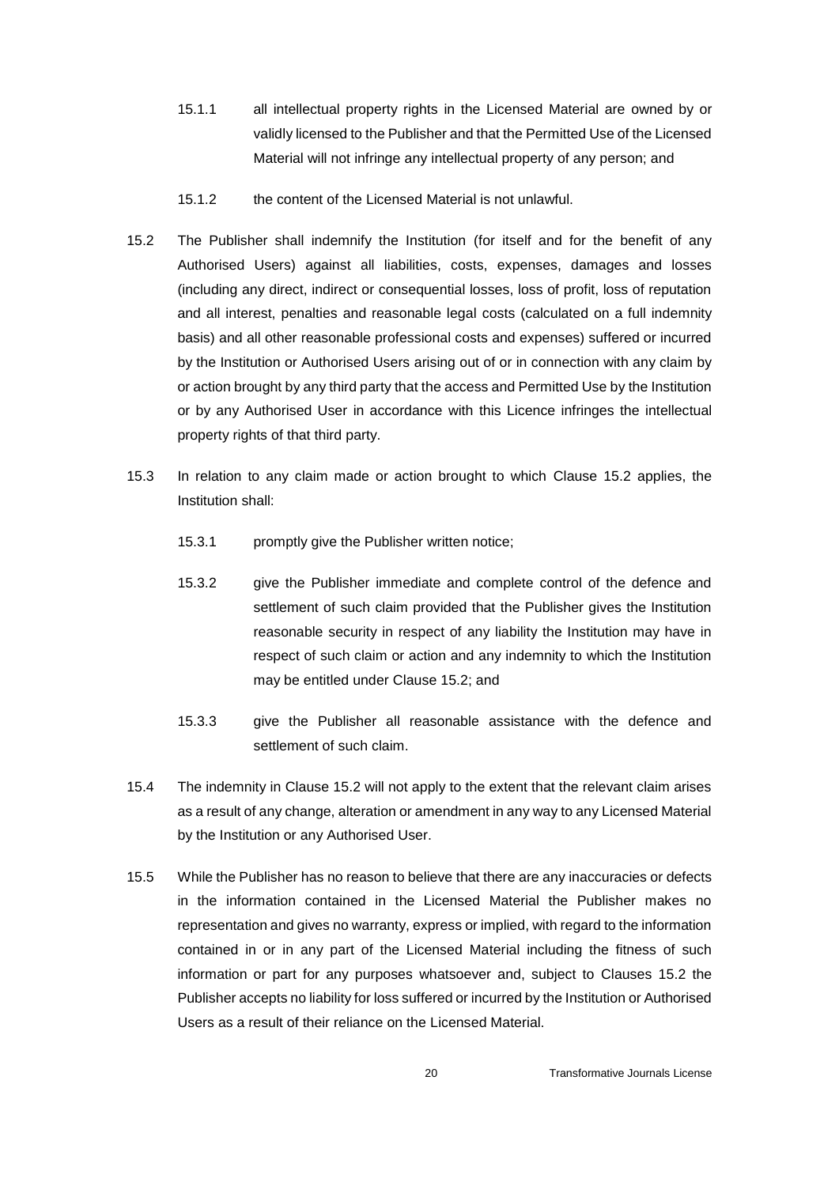- 15.1.1 all intellectual property rights in the Licensed Material are owned by or validly licensed to the Publisher and that the Permitted Use of the Licensed Material will not infringe any intellectual property of any person; and
- 15.1.2 the content of the Licensed Material is not unlawful.
- <span id="page-20-0"></span>15.2 The Publisher shall indemnify the Institution (for itself and for the benefit of any Authorised Users) against all liabilities, costs, expenses, damages and losses (including any direct, indirect or consequential losses, loss of profit, loss of reputation and all interest, penalties and reasonable legal costs (calculated on a full indemnity basis) and all other reasonable professional costs and expenses) suffered or incurred by the Institution or Authorised Users arising out of or in connection with any claim by or action brought by any third party that the access and Permitted Use by the Institution or by any Authorised User in accordance with this Licence infringes the intellectual property rights of that third party.
- 15.3 In relation to any claim made or action brought to which Clause 15.2 applies, the Institution shall:
	- 15.3.1 promptly give the Publisher written notice;
	- 15.3.2 give the Publisher immediate and complete control of the defence and settlement of such claim provided that the Publisher gives the Institution reasonable security in respect of any liability the Institution may have in respect of such claim or action and any indemnity to which the Institution may be entitled under Clause 15.2; and
	- 15.3.3 give the Publisher all reasonable assistance with the defence and settlement of such claim.
- 15.4 The indemnity in Clause 15.2 will not apply to the extent that the relevant claim arises as a result of any change, alteration or amendment in any way to any Licensed Material by the Institution or any Authorised User.
- 15.5 While the Publisher has no reason to believe that there are any inaccuracies or defects in the information contained in the Licensed Material the Publisher makes no representation and gives no warranty, express or implied, with regard to the information contained in or in any part of the Licensed Material including the fitness of such information or part for any purposes whatsoever and, subject to Clauses 15.2 the Publisher accepts no liability for loss suffered or incurred by the Institution or Authorised Users as a result of their reliance on the Licensed Material.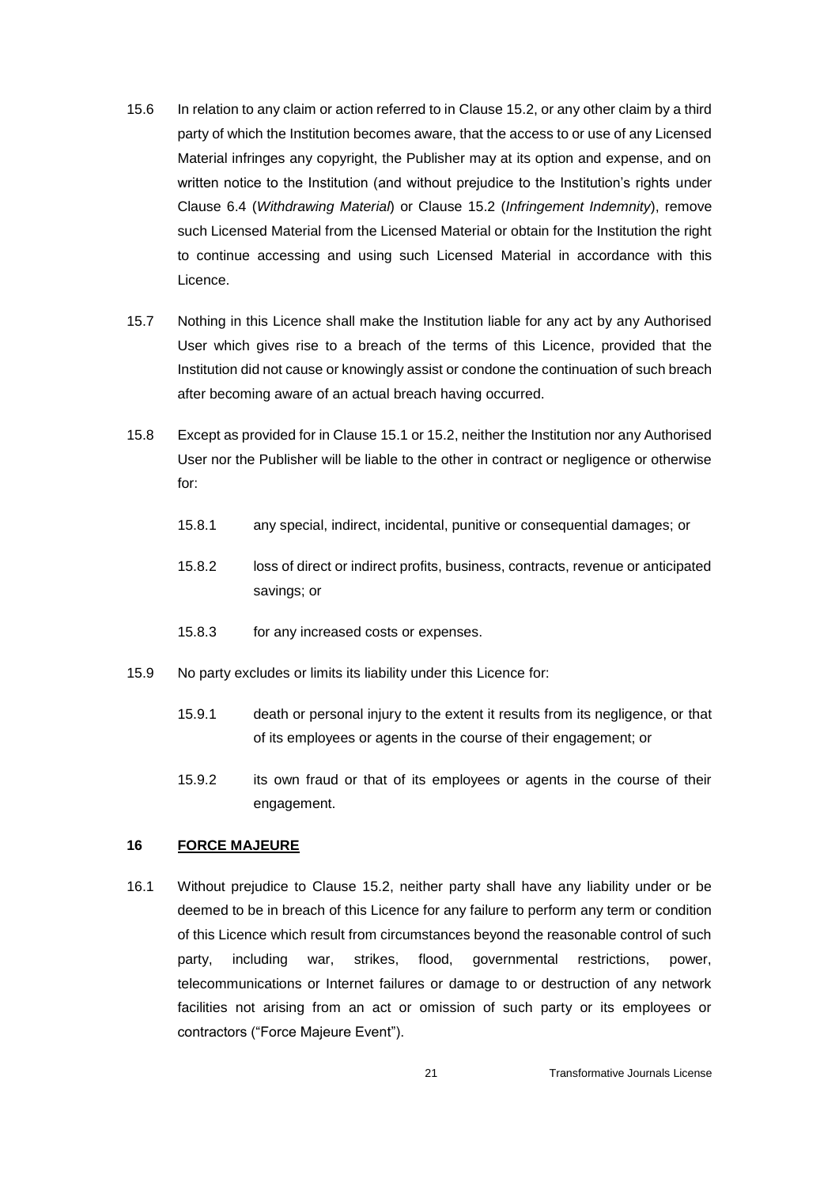- 15.6 In relation to any claim or action referred to in Clause [15.2,](#page-20-0) or any other claim by a third party of which the Institution becomes aware, that the access to or use of any Licensed Material infringes any copyright, the Publisher may at its option and expense, and on written notice to the Institution (and without prejudice to the Institution's rights under Clause [6.4](#page-13-1) (*Withdrawing Material*) or Clause [15.2](#page-20-0) (*Infringement Indemnity*), remove such Licensed Material from the Licensed Material or obtain for the Institution the right to continue accessing and using such Licensed Material in accordance with this Licence.
- 15.7 Nothing in this Licence shall make the Institution liable for any act by any Authorised User which gives rise to a breach of the terms of this Licence, provided that the Institution did not cause or knowingly assist or condone the continuation of such breach after becoming aware of an actual breach having occurred.
- 15.8 Except as provided for in Clause 15.1 or [15.2,](#page-20-0) neither the Institution nor any Authorised User nor the Publisher will be liable to the other in contract or negligence or otherwise for:
	- 15.8.1 any special, indirect, incidental, punitive or consequential damages; or
	- 15.8.2 loss of direct or indirect profits, business, contracts, revenue or anticipated savings; or
	- 15.8.3 for any increased costs or expenses.
- 15.9 No party excludes or limits its liability under this Licence for:
	- 15.9.1 death or personal injury to the extent it results from its negligence, or that of its employees or agents in the course of their engagement; or
	- 15.9.2 its own fraud or that of its employees or agents in the course of their engagement.

#### **16 FORCE MAJEURE**

16.1 Without prejudice to Clause [15.2,](#page-20-0) neither party shall have any liability under or be deemed to be in breach of this Licence for any failure to perform any term or condition of this Licence which result from circumstances beyond the reasonable control of such party, including war, strikes, flood, governmental restrictions, power, telecommunications or Internet failures or damage to or destruction of any network facilities not arising from an act or omission of such party or its employees or contractors ("Force Majeure Event").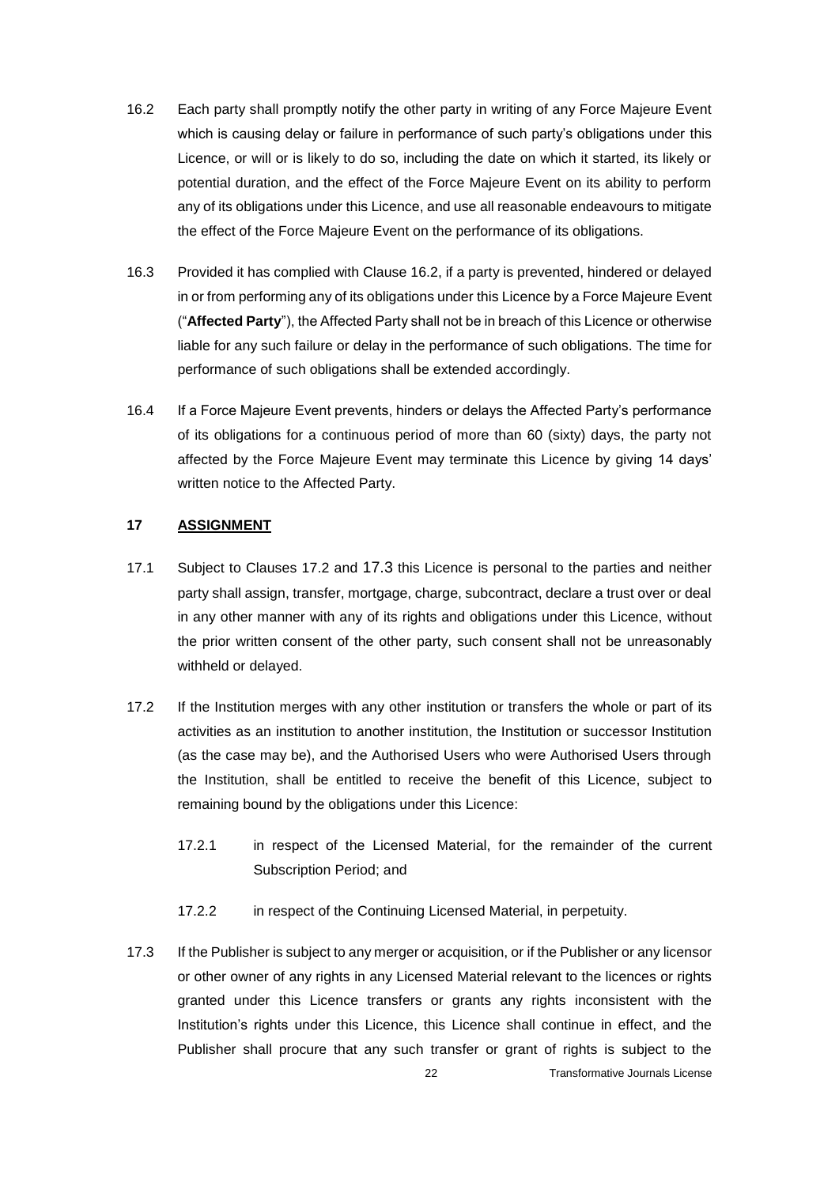- <span id="page-22-0"></span>16.2 Each party shall promptly notify the other party in writing of any Force Majeure Event which is causing delay or failure in performance of such party's obligations under this Licence, or will or is likely to do so, including the date on which it started, its likely or potential duration, and the effect of the Force Majeure Event on its ability to perform any of its obligations under this Licence, and use all reasonable endeavours to mitigate the effect of the Force Majeure Event on the performance of its obligations.
- 16.3 Provided it has complied with Clause [16.2,](#page-22-0) if a party is prevented, hindered or delayed in or from performing any of its obligations under this Licence by a Force Majeure Event ("**Affected Party**"), the Affected Party shall not be in breach of this Licence or otherwise liable for any such failure or delay in the performance of such obligations. The time for performance of such obligations shall be extended accordingly.
- 16.4 If a Force Majeure Event prevents, hinders or delays the Affected Party's performance of its obligations for a continuous period of more than 60 (sixty) days, the party not affected by the Force Majeure Event may terminate this Licence by giving 14 days' written notice to the Affected Party.

### **17 ASSIGNMENT**

- <span id="page-22-2"></span>17.1 Subject to Clauses [17.2](#page-22-1) and 17.3 this Licence is personal to the parties and neither party shall assign, transfer, mortgage, charge, subcontract, declare a trust over or deal in any other manner with any of its rights and obligations under this Licence, without the prior written consent of the other party, such consent shall not be unreasonably withheld or delayed.
- <span id="page-22-1"></span>17.2 If the Institution merges with any other institution or transfers the whole or part of its activities as an institution to another institution, the Institution or successor Institution (as the case may be), and the Authorised Users who were Authorised Users through the Institution, shall be entitled to receive the benefit of this Licence, subject to remaining bound by the obligations under this Licence:
	- 17.2.1 in respect of the Licensed Material, for the remainder of the current Subscription Period; and
	- 17.2.2 in respect of the Continuing Licensed Material, in perpetuity.
- 17.3 If the Publisher is subject to any merger or acquisition, or if the Publisher or any licensor or other owner of any rights in any Licensed Material relevant to the licences or rights granted under this Licence transfers or grants any rights inconsistent with the Institution's rights under this Licence, this Licence shall continue in effect, and the Publisher shall procure that any such transfer or grant of rights is subject to the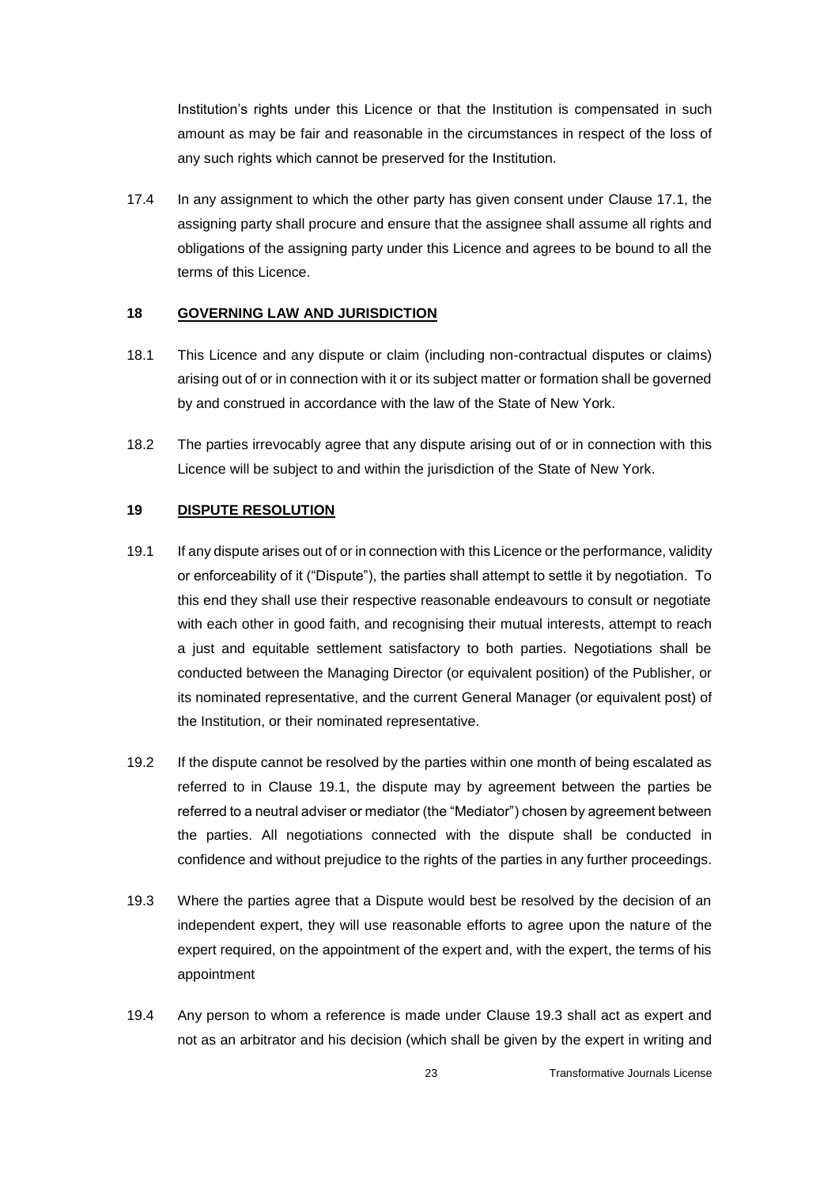Institution's rights under this Licence or that the Institution is compensated in such amount as may be fair and reasonable in the circumstances in respect of the loss of any such rights which cannot be preserved for the Institution.

17.4 In any assignment to which the other party has given consent under Clause [17.1,](#page-22-2) the assigning party shall procure and ensure that the assignee shall assume all rights and obligations of the assigning party under this Licence and agrees to be bound to all the terms of this Licence.

#### <span id="page-23-2"></span>**18 GOVERNING LAW AND JURISDICTION**

- 18.1 This Licence and any dispute or claim (including non-contractual disputes or claims) arising out of or in connection with it or its subject matter or formation shall be governed by and construed in accordance with the law of the State of New York.
- 18.2 The parties irrevocably agree that any dispute arising out of or in connection with this Licence will be subject to and within the jurisdiction of the State of New York.

#### **19 DISPUTE RESOLUTION**

- <span id="page-23-0"></span>19.1 If any dispute arises out of or in connection with this Licence or the performance, validity or enforceability of it ("Dispute"), the parties shall attempt to settle it by negotiation. To this end they shall use their respective reasonable endeavours to consult or negotiate with each other in good faith, and recognising their mutual interests, attempt to reach a just and equitable settlement satisfactory to both parties. Negotiations shall be conducted between the Managing Director (or equivalent position) of the Publisher, or its nominated representative, and the current General Manager (or equivalent post) of the Institution, or their nominated representative.
- 19.2 If the dispute cannot be resolved by the parties within one month of being escalated as referred to in Clause [19.1,](#page-23-0) the dispute may by agreement between the parties be referred to a neutral adviser or mediator (the "Mediator") chosen by agreement between the parties. All negotiations connected with the dispute shall be conducted in confidence and without prejudice to the rights of the parties in any further proceedings.
- 19.3 Where the parties agree that a Dispute would best be resolved by the decision of an independent expert, they will use reasonable efforts to agree upon the nature of the expert required, on the appointment of the expert and, with the expert, the terms of his appointment
- <span id="page-23-1"></span>19.4 Any person to whom a reference is made under Clause 19.3 shall act as expert and not as an arbitrator and his decision (which shall be given by the expert in writing and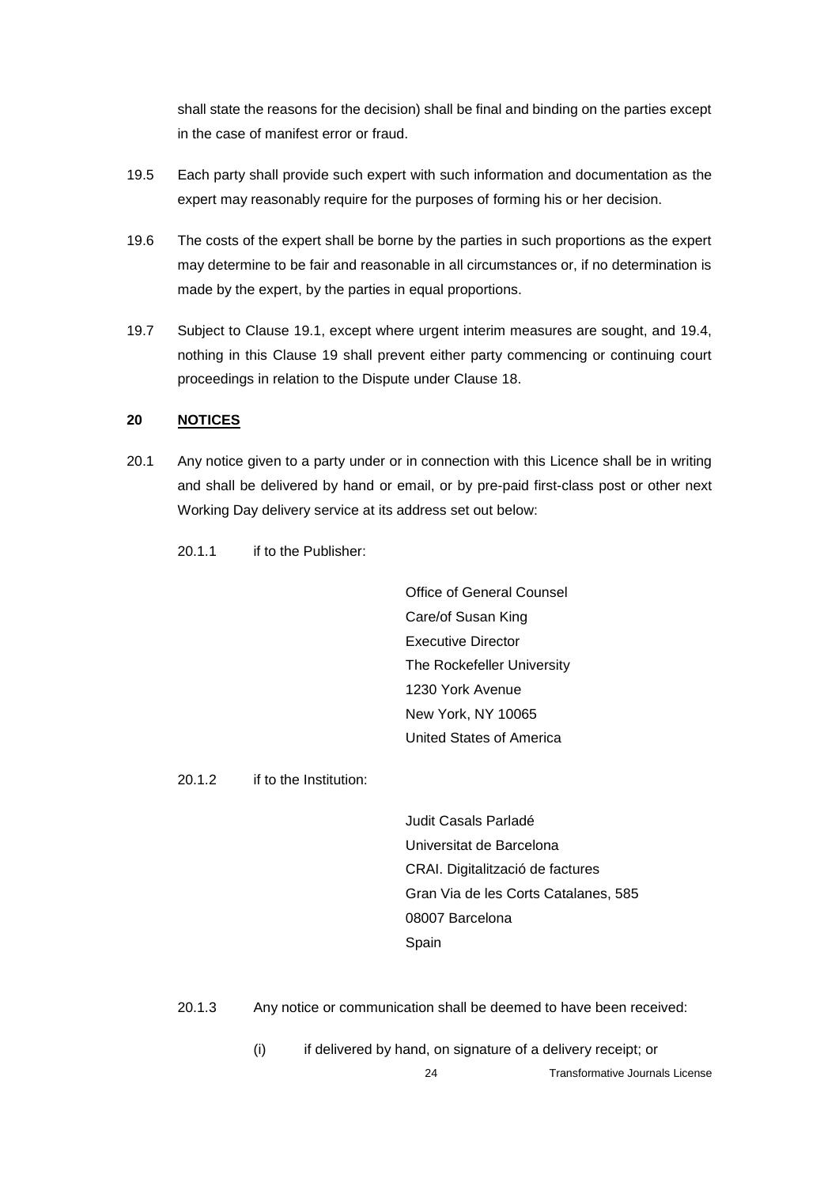shall state the reasons for the decision) shall be final and binding on the parties except in the case of manifest error or fraud.

- 19.5 Each party shall provide such expert with such information and documentation as the expert may reasonably require for the purposes of forming his or her decision.
- 19.6 The costs of the expert shall be borne by the parties in such proportions as the expert may determine to be fair and reasonable in all circumstances or, if no determination is made by the expert, by the parties in equal proportions.
- 19.7 Subject to Clause [19.1,](#page-23-0) except where urgent interim measures are sought, and [19.4,](#page-23-1) nothing in this Clause 19 shall prevent either party commencing or continuing court proceedings in relation to the Dispute under Clause [18.](#page-23-2)

#### **20 NOTICES**

- 20.1 Any notice given to a party under or in connection with this Licence shall be in writing and shall be delivered by hand or email, or by pre-paid first-class post or other next Working Day delivery service at its address set out below:
	- 20.1.1 if to the Publisher:

Office of General Counsel Care/of Susan King Executive Director The Rockefeller University 1230 York Avenue New York, NY 10065 United States of America

20.1.2 if to the Institution:

Judit Casals Parladé Universitat de Barcelona CRAI. Digitalització de factures Gran Via de les Corts Catalanes, 585 08007 Barcelona Spain

20.1.3 Any notice or communication shall be deemed to have been received:

(i) if delivered by hand, on signature of a delivery receipt; or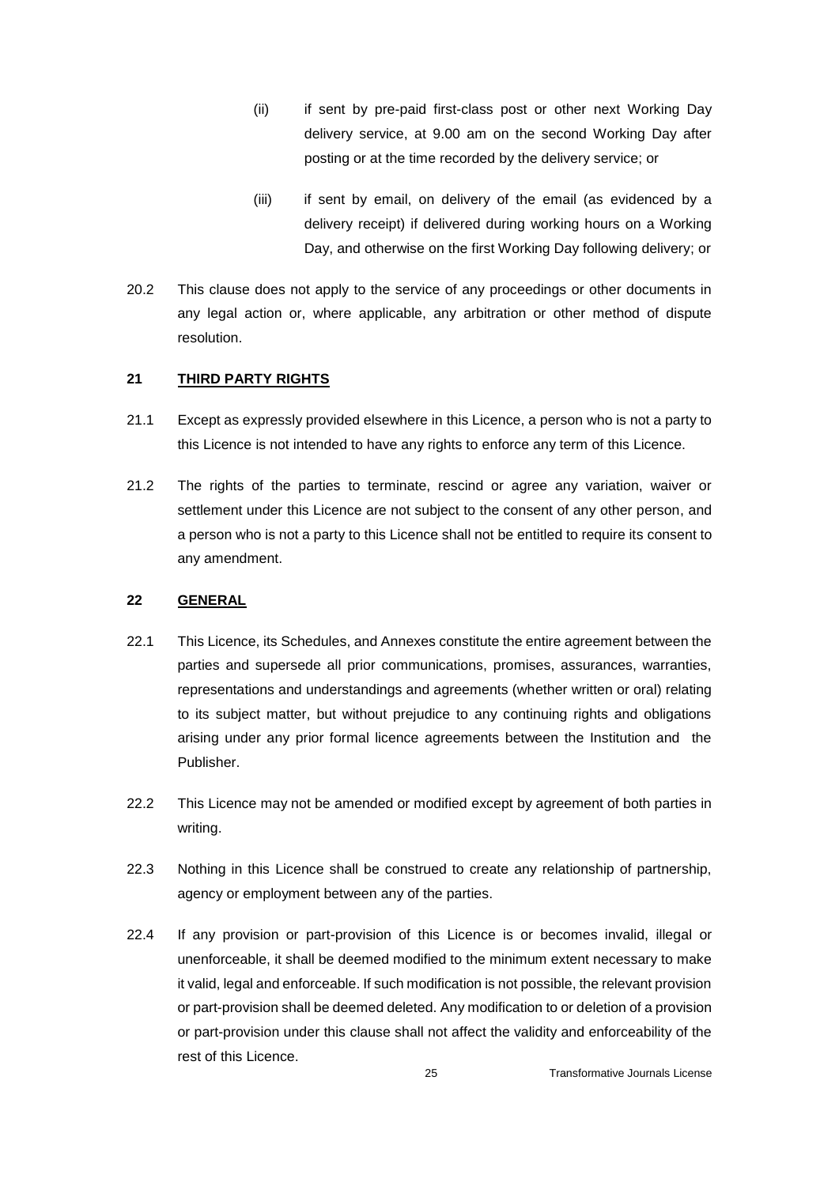- (ii) if sent by pre-paid first-class post or other next Working Day delivery service, at 9.00 am on the second Working Day after posting or at the time recorded by the delivery service; or
- (iii) if sent by email, on delivery of the email (as evidenced by a delivery receipt) if delivered during working hours on a Working Day, and otherwise on the first Working Day following delivery; or
- 20.2 This clause does not apply to the service of any proceedings or other documents in any legal action or, where applicable, any arbitration or other method of dispute resolution.

### **21 THIRD PARTY RIGHTS**

- 21.1 Except as expressly provided elsewhere in this Licence, a person who is not a party to this Licence is not intended to have any rights to enforce any term of this Licence.
- 21.2 The rights of the parties to terminate, rescind or agree any variation, waiver or settlement under this Licence are not subject to the consent of any other person, and a person who is not a party to this Licence shall not be entitled to require its consent to any amendment.

#### <span id="page-25-0"></span>**22 GENERAL**

- 22.1 This Licence, its Schedules, and Annexes constitute the entire agreement between the parties and supersede all prior communications, promises, assurances, warranties, representations and understandings and agreements (whether written or oral) relating to its subject matter, but without prejudice to any continuing rights and obligations arising under any prior formal licence agreements between the Institution and the Publisher.
- 22.2 This Licence may not be amended or modified except by agreement of both parties in writing.
- 22.3 Nothing in this Licence shall be construed to create any relationship of partnership, agency or employment between any of the parties.
- 22.4 If any provision or part-provision of this Licence is or becomes invalid, illegal or unenforceable, it shall be deemed modified to the minimum extent necessary to make it valid, legal and enforceable. If such modification is not possible, the relevant provision or part-provision shall be deemed deleted. Any modification to or deletion of a provision or part-provision under this clause shall not affect the validity and enforceability of the rest of this Licence.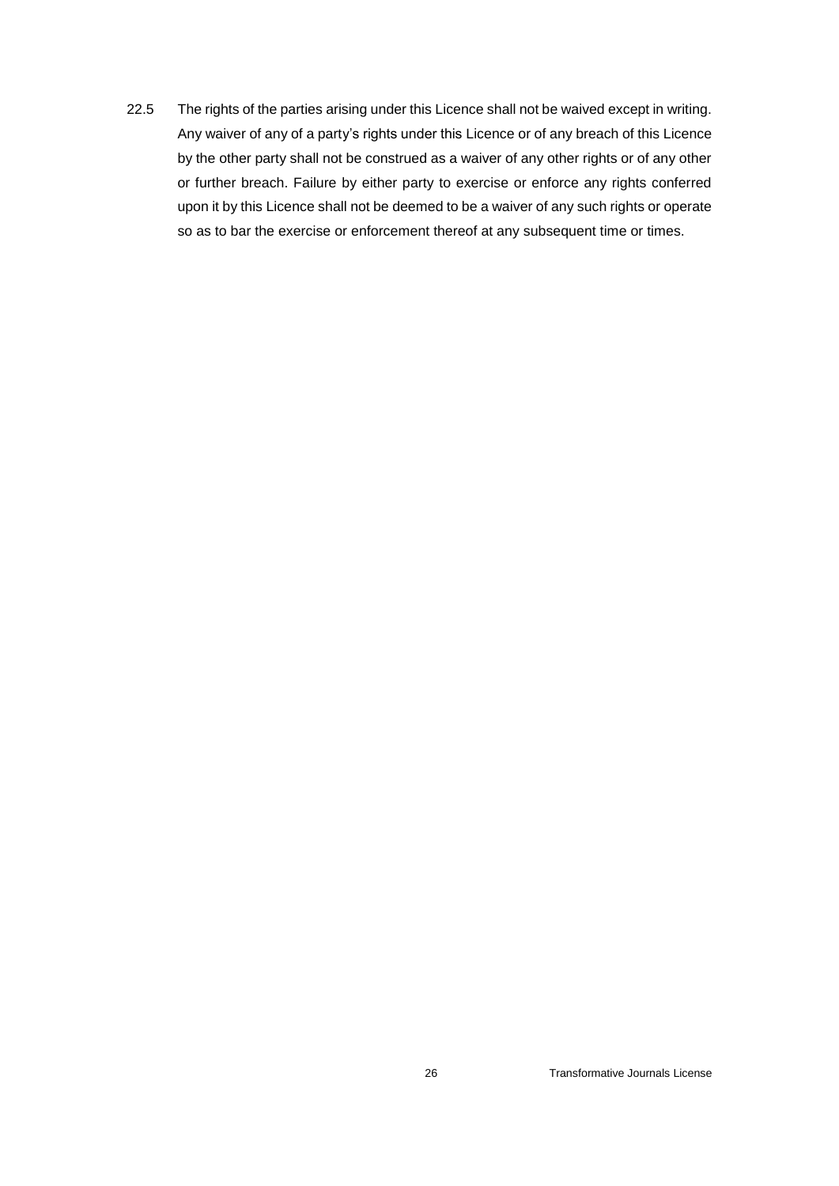22.5 The rights of the parties arising under this Licence shall not be waived except in writing. Any waiver of any of a party's rights under this Licence or of any breach of this Licence by the other party shall not be construed as a waiver of any other rights or of any other or further breach. Failure by either party to exercise or enforce any rights conferred upon it by this Licence shall not be deemed to be a waiver of any such rights or operate so as to bar the exercise or enforcement thereof at any subsequent time or times.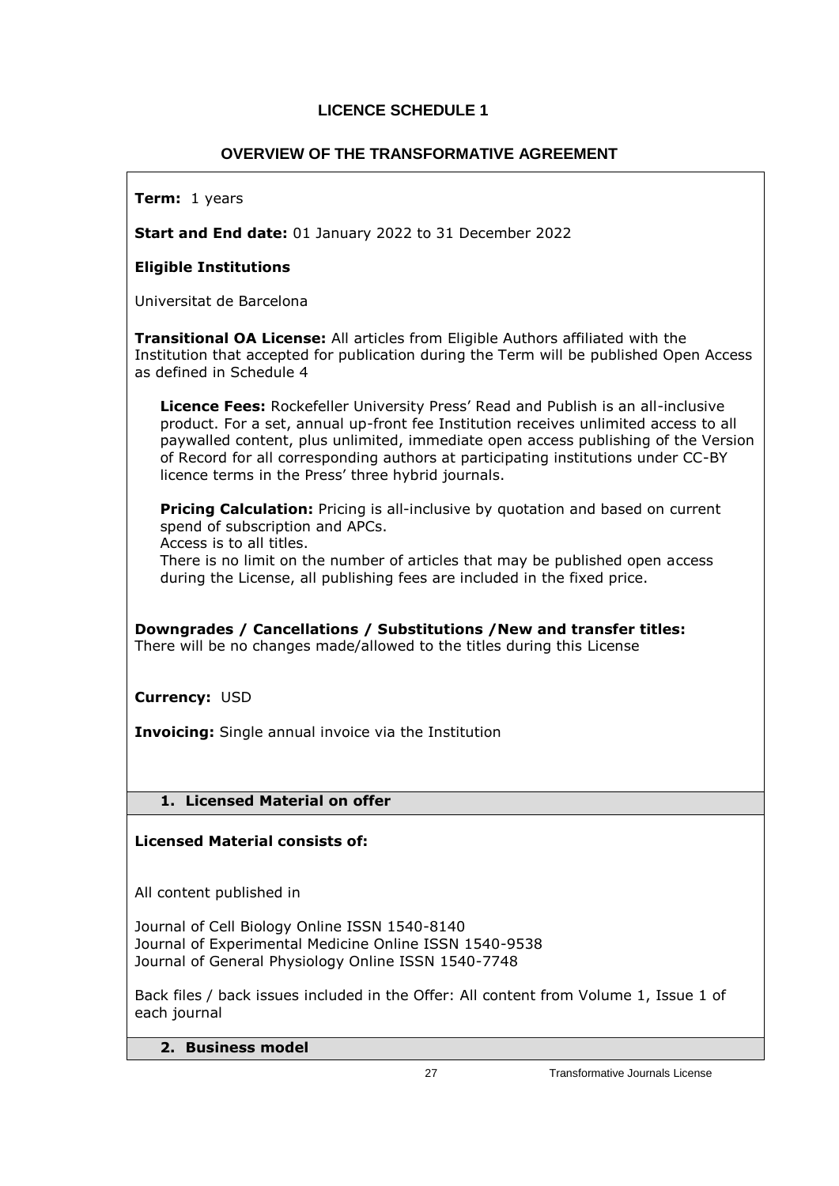# **LICENCE SCHEDULE 1**

# **OVERVIEW OF THE TRANSFORMATIVE AGREEMENT**

### <span id="page-27-0"></span>**Term:** 1 years

**Start and End date:** 01 January 2022 to 31 December 2022

## **[Eligible Institutions](https://www.jisc-collections.ac.uk/About-JISC-Collections/)**

Universitat de Barcelona

**Transitional OA License:** All articles from Eligible Authors affiliated with the Institution that accepted for publication during the Term will be published Open Access as defined in Schedule 4

**Licence Fees:** Rockefeller University Press' Read and Publish is an all-inclusive product. For a set, annual up-front fee Institution receives unlimited access to all paywalled content, plus unlimited, immediate open access publishing of the Version of Record for all corresponding authors at participating institutions under CC-BY licence terms in the Press' three hybrid journals.

**Pricing Calculation:** Pricing is all-inclusive by quotation and based on current spend of subscription and APCs.

Access is to all titles.

There is no limit on the number of articles that may be published open access during the License, all publishing fees are included in the fixed price.

**Downgrades / Cancellations / Substitutions /New and transfer titles:**  There will be no changes made/allowed to the titles during this License

**Currency:** USD

**Invoicing:** Single annual invoice via the Institution

# **1. Licensed Material on offer**

## **Licensed Material consists of:**

All content published in

Journal of Cell Biology Online ISSN 1540-8140 Journal of Experimental Medicine Online ISSN 1540-9538 Journal of General Physiology Online ISSN 1540-7748

Back files / back issues included in the Offer: All content from Volume 1, Issue 1 of each journal

# **2. Business model**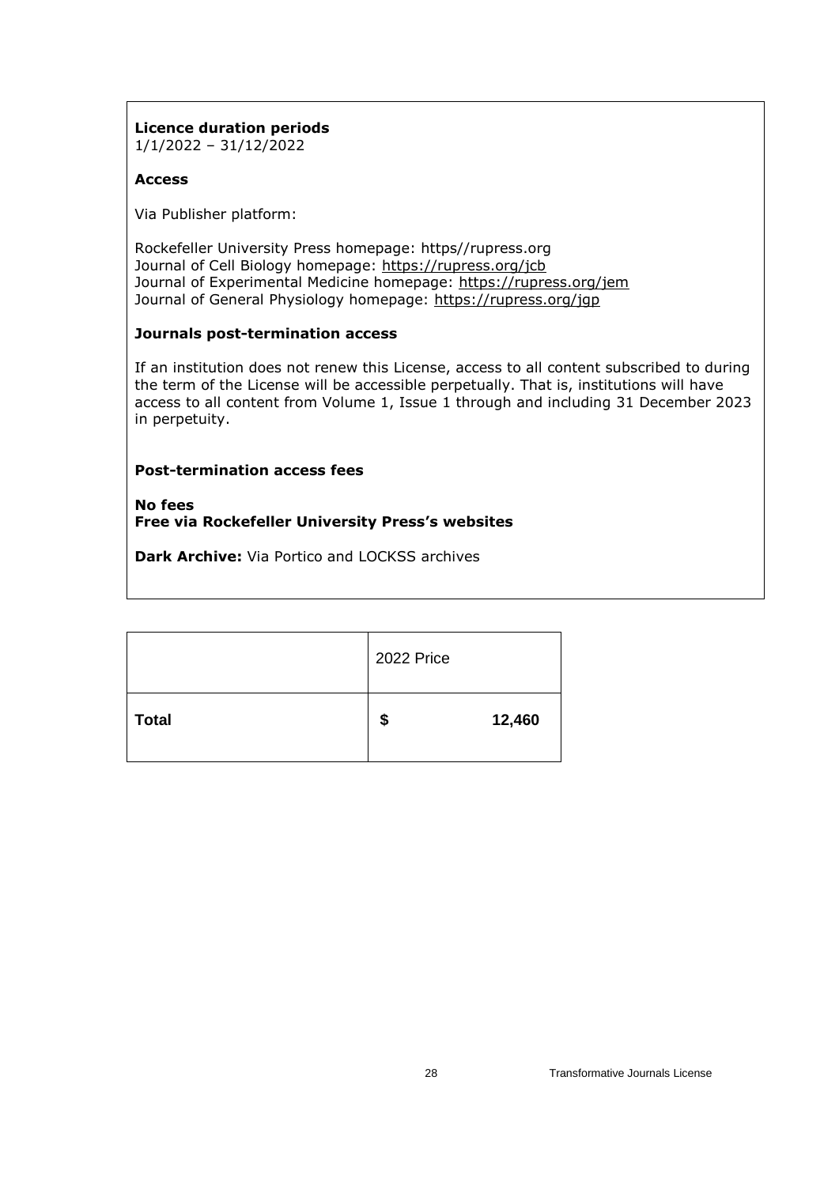# **Licence duration periods**

1/1/2022 – 31/12/2022

## **Access**

Via Publisher platform:

Rockefeller University Press homepage: https//rupress.org Journal of Cell Biology homepage:<https://rupress.org/jcb> Journal of Experimental Medicine homepage:<https://rupress.org/jem> Journal of General Physiology homepage: https://rupress.org/jqp

## **Journals post-termination access**

If an institution does not renew this License, access to all content subscribed to during the term of the License will be accessible perpetually. That is, institutions will have access to all content from Volume 1, Issue 1 through and including 31 December 2023 in perpetuity.

### **Post-termination access fees**

**No fees Free via Rockefeller University Press's websites** 

**Dark Archive:** Via Portico and LOCKSS archives

|              | 2022 Price |        |
|--------------|------------|--------|
| <b>Total</b> | \$         | 12,460 |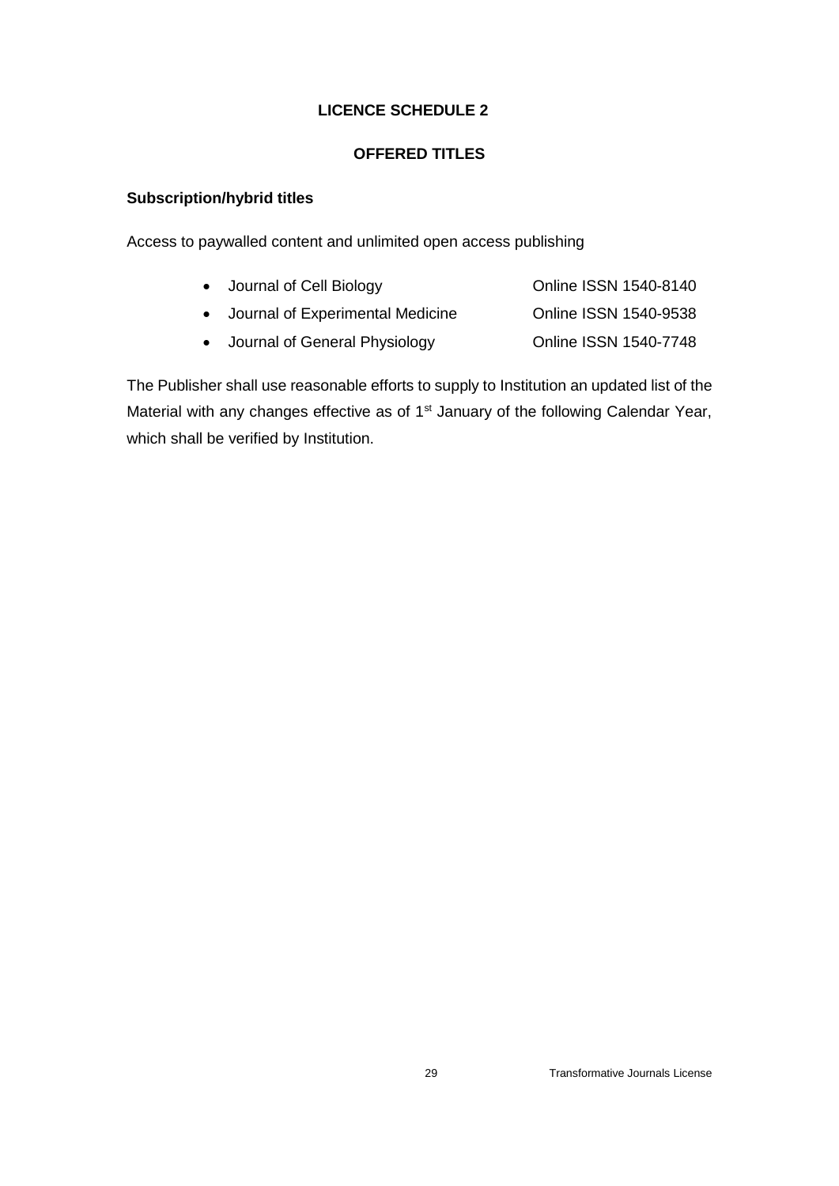# **LICENCE SCHEDULE 2**

# **OFFERED TITLES**

# <span id="page-29-0"></span>**Subscription/hybrid titles**

Access to paywalled content and unlimited open access publishing

| • Journal of Cell Biology          | Online ISSN 1540-8140 |
|------------------------------------|-----------------------|
| • Journal of Experimental Medicine | Online ISSN 1540-9538 |

• Journal of General Physiology **Charlot Conduct Conduct 1540-7748** 

The Publisher shall use reasonable efforts to supply to Institution an updated list of the Material with any changes effective as of 1<sup>st</sup> January of the following Calendar Year, which shall be verified by Institution.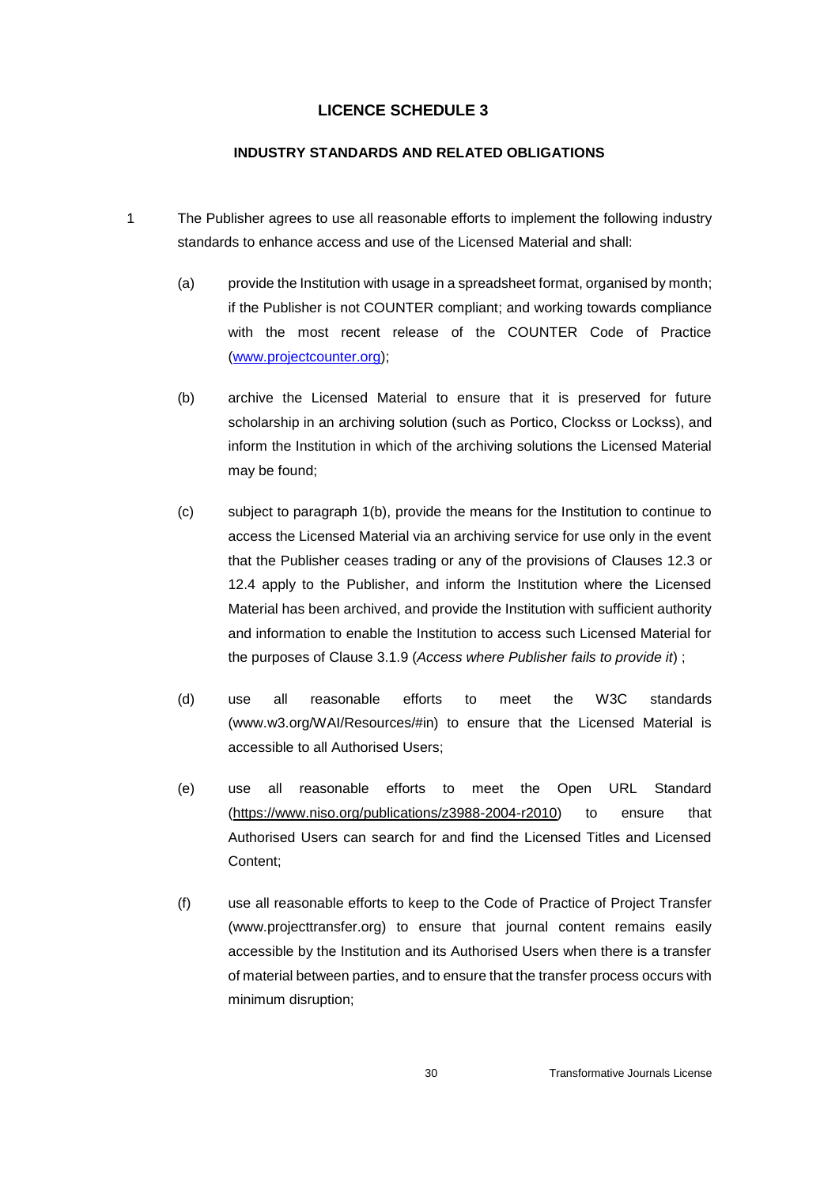#### **LICENCE SCHEDULE 3**

#### **INDUSTRY STANDARDS AND RELATED OBLIGATIONS**

- <span id="page-30-1"></span><span id="page-30-0"></span>1 The Publisher agrees to use all reasonable efforts to implement the following industry standards to enhance access and use of the Licensed Material and shall:
	- (a) provide the Institution with usage in a spreadsheet format, organised by month; if the Publisher is not COUNTER compliant; and working towards compliance with the most recent release of the COUNTER Code of Practice [\(www.projectcounter.org\)](http://www.projectcounter.org/);
	- (b) archive the Licensed Material to ensure that it is preserved for future scholarship in an archiving solution (such as Portico, Clockss or Lockss), and inform the Institution in which of the archiving solutions the Licensed Material may be found;
	- (c) subject to paragraph [1\(b\),](#page-30-1) provide the means for the Institution to continue to access the Licensed Material via an archiving service for use only in the event that the Publisher ceases trading or any of the provisions of Clauses [12.3](#page-17-1) or [12.4](#page-17-2) apply to the Publisher, and inform the Institution where the Licensed Material has been archived, and provide the Institution with sufficient authority and information to enable the Institution to access such Licensed Material for the purposes of Clause [3.1.9](#page-8-1) (*Access where Publisher fails to provide it*) ;
	- (d) use all reasonable efforts to meet the W3C standards (www.w3.org/WAI/Resources/#in) to ensure that the Licensed Material is accessible to all Authorised Users;
	- (e) use all reasonable efforts to meet the Open URL Standard (https://www.niso.org/publications/z3988-2004-r2010) to ensure that Authorised Users can search for and find the Licensed Titles and Licensed Content;
	- (f) use all reasonable efforts to keep to the Code of Practice of Project Transfer [\(www.projecttransfer.org\)](http://www.ukfederation.org.uk/) to ensure that journal content remains easily accessible by the Institution and its Authorised Users when there is a transfer of material between parties, and to ensure that the transfer process occurs with minimum disruption;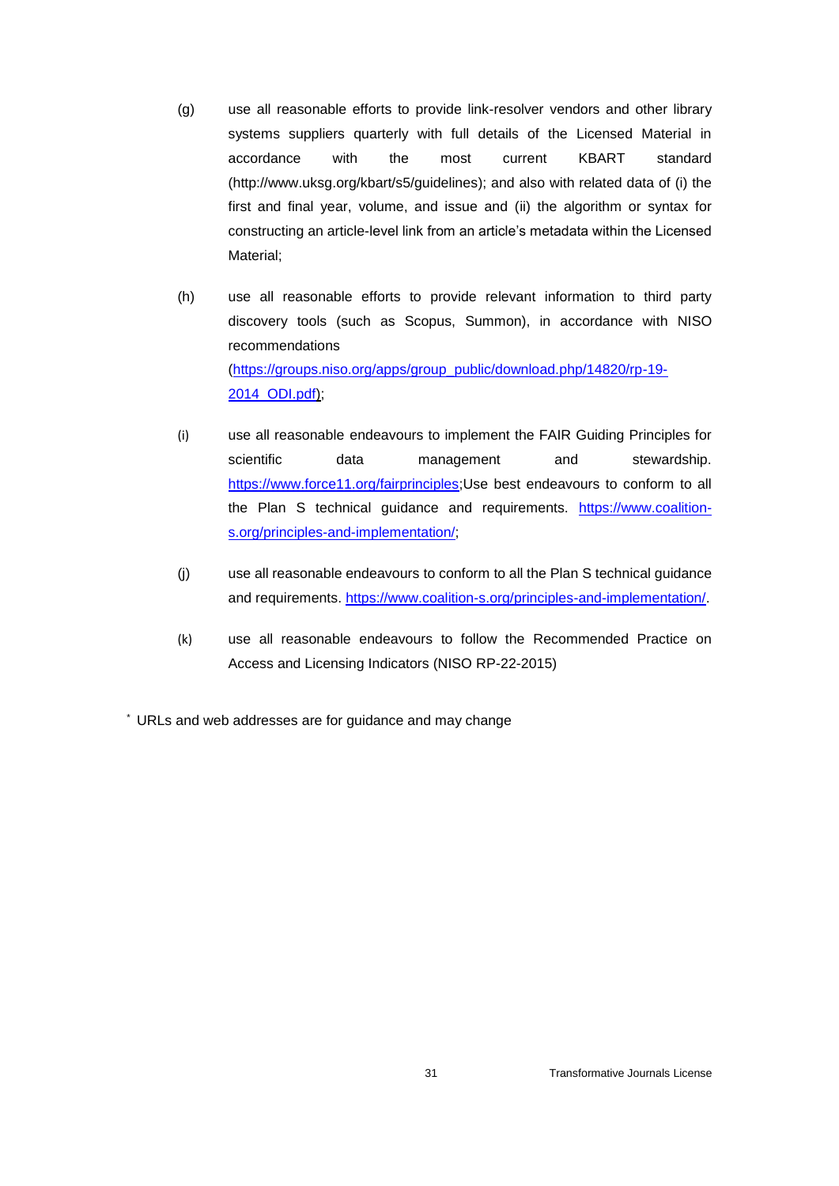- (g) use all reasonable efforts to provide link-resolver vendors and other library systems suppliers quarterly with full details of the Licensed Material in accordance with the most current KBART standard [\(http://www.uksg.org/kbart/s5/guidelines\)](http://www.jisc-collections.ac.uk/Guide-for-Publishers%20/industry%20_standards/User-statistics); and also with related data of (i) the first and final year, volume, and issue and (ii) the algorithm or syntax for constructing an article-level link from an article's metadata within the Licensed Material;
- (h) use all reasonable efforts to provide relevant information to third party discovery tools (such as Scopus, Summon), in accordance with NISO recommendations [\(https://groups.niso.org/apps/group\\_public/download.php/14820/rp-19-](https://groups.niso.org/apps/group_public/download.php/14820/rp-19-2014_ODI.pdf) [2014\\_ODI.pdf\)](https://groups.niso.org/apps/group_public/download.php/14820/rp-19-2014_ODI.pdf);
- (i) use all reasonable endeavours to implement the FAIR Guiding Principles for scientific data management and stewardship. [https://www.force11.org/fairprinciples;](https://www.force11.org/fairprinciples)Use best endeavours to conform to all the Plan S technical guidance and requirements. [https://www.coalition](https://www.coalition-s.org/principles-and-implementation/)[s.org/principles-and-implementation/;](https://www.coalition-s.org/principles-and-implementation/)
- (j) use all reasonable endeavours to conform to all the Plan S technical guidance and requirements. [https://www.coalition-s.org/principles-and-implementation/.](https://www.coalition-s.org/principles-and-implementation/)
- (k) use all reasonable endeavours to follow the Recommended Practice on Access and Licensing Indicators (NISO RP-22-2015)

\* URLs and web addresses are for guidance and may change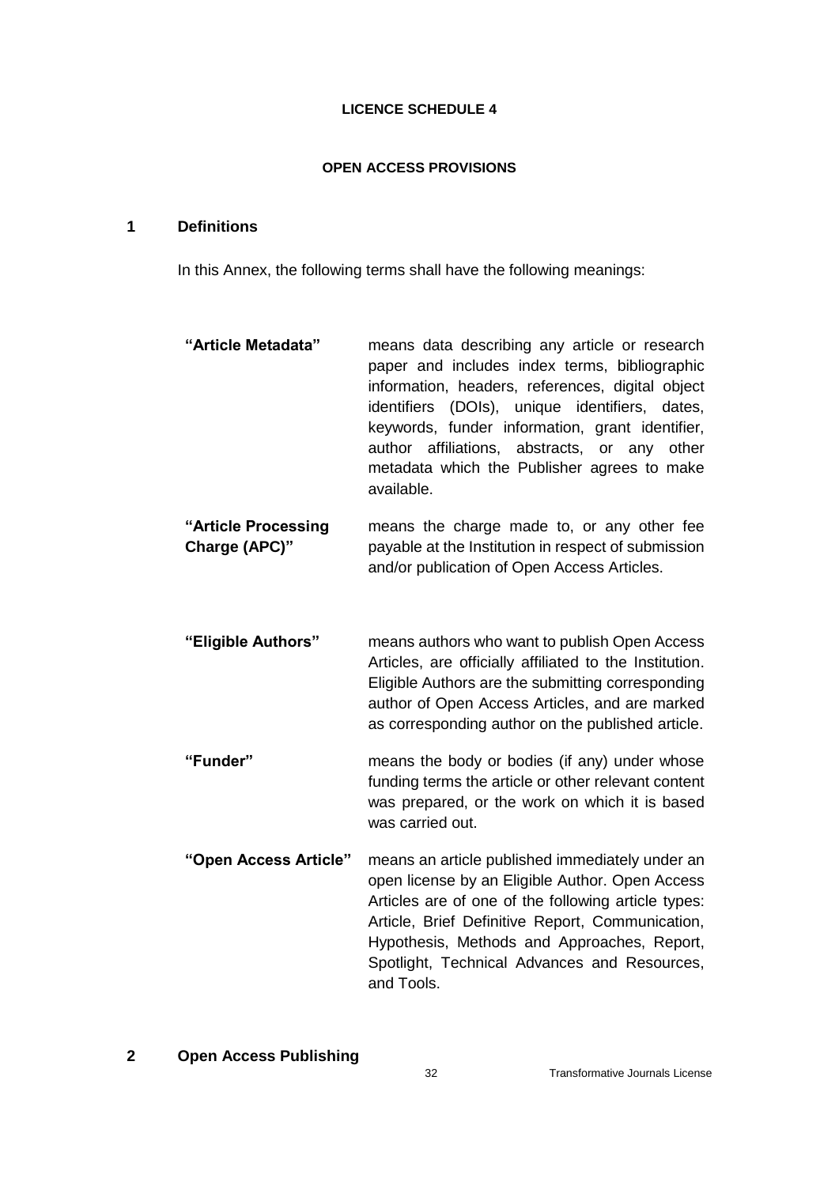### **LICENCE SCHEDULE 4**

### **OPEN ACCESS PROVISIONS**

### **1 Definitions**

In this Annex, the following terms shall have the following meanings:

| "Article Metadata"                   | means data describing any article or research<br>paper and includes index terms, bibliographic<br>information, headers, references, digital object<br>identifiers (DOIs), unique identifiers, dates,<br>keywords, funder information, grant identifier,<br>author affiliations, abstracts, or any<br>other<br>metadata which the Publisher agrees to make<br>available. |  |
|--------------------------------------|-------------------------------------------------------------------------------------------------------------------------------------------------------------------------------------------------------------------------------------------------------------------------------------------------------------------------------------------------------------------------|--|
| "Article Processing<br>Charge (APC)" | means the charge made to, or any other fee<br>payable at the Institution in respect of submission<br>and/or publication of Open Access Articles.                                                                                                                                                                                                                        |  |

**"Eligible Authors"** means authors who want to publish Open Access Articles, are officially affiliated to the Institution. Eligible Authors are the submitting corresponding author of Open Access Articles, and are marked as corresponding author on the published article.

- **"Funder"** means the body or bodies (if any) under whose funding terms the article or other relevant content was prepared, or the work on which it is based was carried out.
- **"Open Access Article"** means an article published immediately under an open license by an Eligible Author. Open Access Articles are of one of the following article types: Article, Brief Definitive Report, Communication, Hypothesis, Methods and Approaches, Report, Spotlight, Technical Advances and Resources, and Tools.
- **2 Open Access Publishing**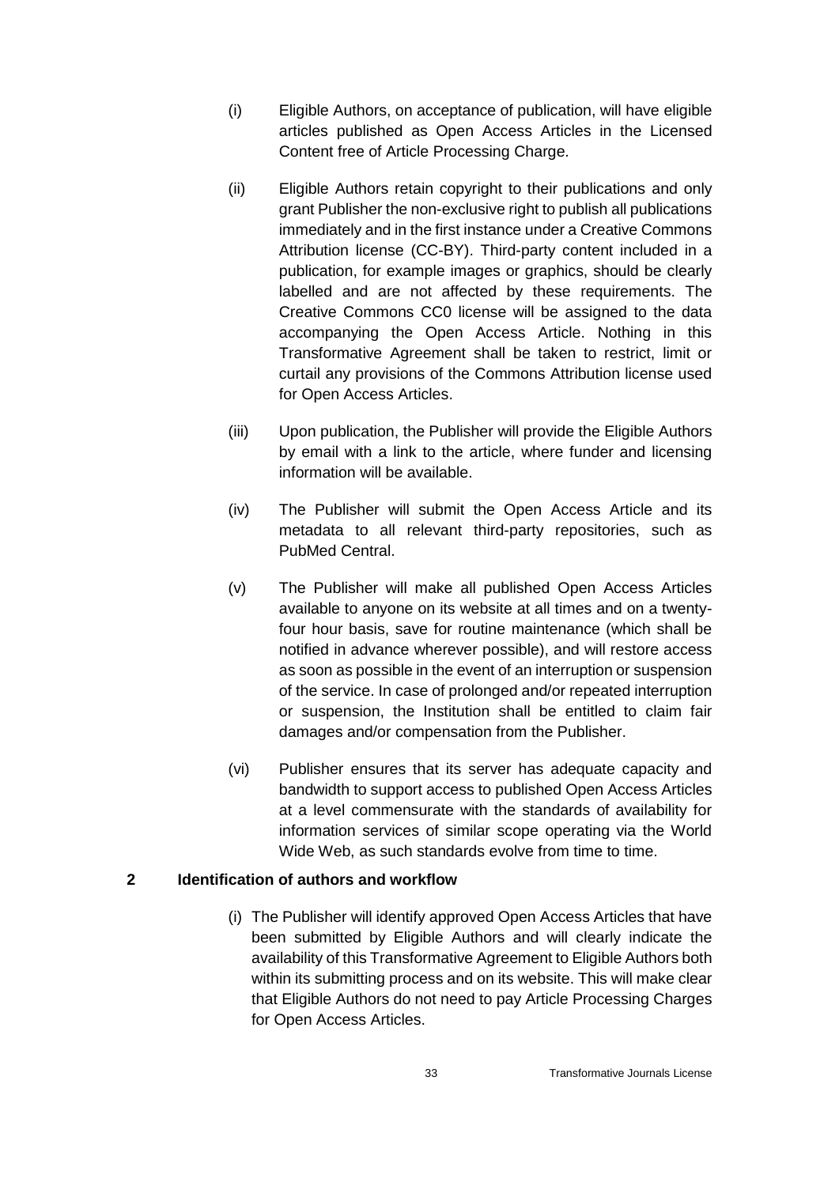- (i) Eligible Authors, on acceptance of publication, will have eligible articles published as Open Access Articles in the Licensed Content free of Article Processing Charge.
- (ii) Eligible Authors retain copyright to their publications and only grant Publisher the non-exclusive right to publish all publications immediately and in the first instance under a Creative Commons Attribution license (CC-BY). Third-party content included in a publication, for example images or graphics, should be clearly labelled and are not affected by these requirements. The Creative Commons CC0 license will be assigned to the data accompanying the Open Access Article. Nothing in this Transformative Agreement shall be taken to restrict, limit or curtail any provisions of the Commons Attribution license used for Open Access Articles.
- (iii) Upon publication, the Publisher will provide the Eligible Authors by email with a link to the article, where funder and licensing information will be available.
- (iv) The Publisher will submit the Open Access Article and its metadata to all relevant third-party repositories, such as PubMed Central.
- (v) The Publisher will make all published Open Access Articles available to anyone on its website at all times and on a twentyfour hour basis, save for routine maintenance (which shall be notified in advance wherever possible), and will restore access as soon as possible in the event of an interruption or suspension of the service. In case of prolonged and/or repeated interruption or suspension, the Institution shall be entitled to claim fair damages and/or compensation from the Publisher.
- (vi) Publisher ensures that its server has adequate capacity and bandwidth to support access to published Open Access Articles at a level commensurate with the standards of availability for information services of similar scope operating via the World Wide Web, as such standards evolve from time to time.

## **2 Identification of authors and workflow**

(i) The Publisher will identify approved Open Access Articles that have been submitted by Eligible Authors and will clearly indicate the availability of this Transformative Agreement to Eligible Authors both within its submitting process and on its website. This will make clear that Eligible Authors do not need to pay Article Processing Charges for Open Access Articles.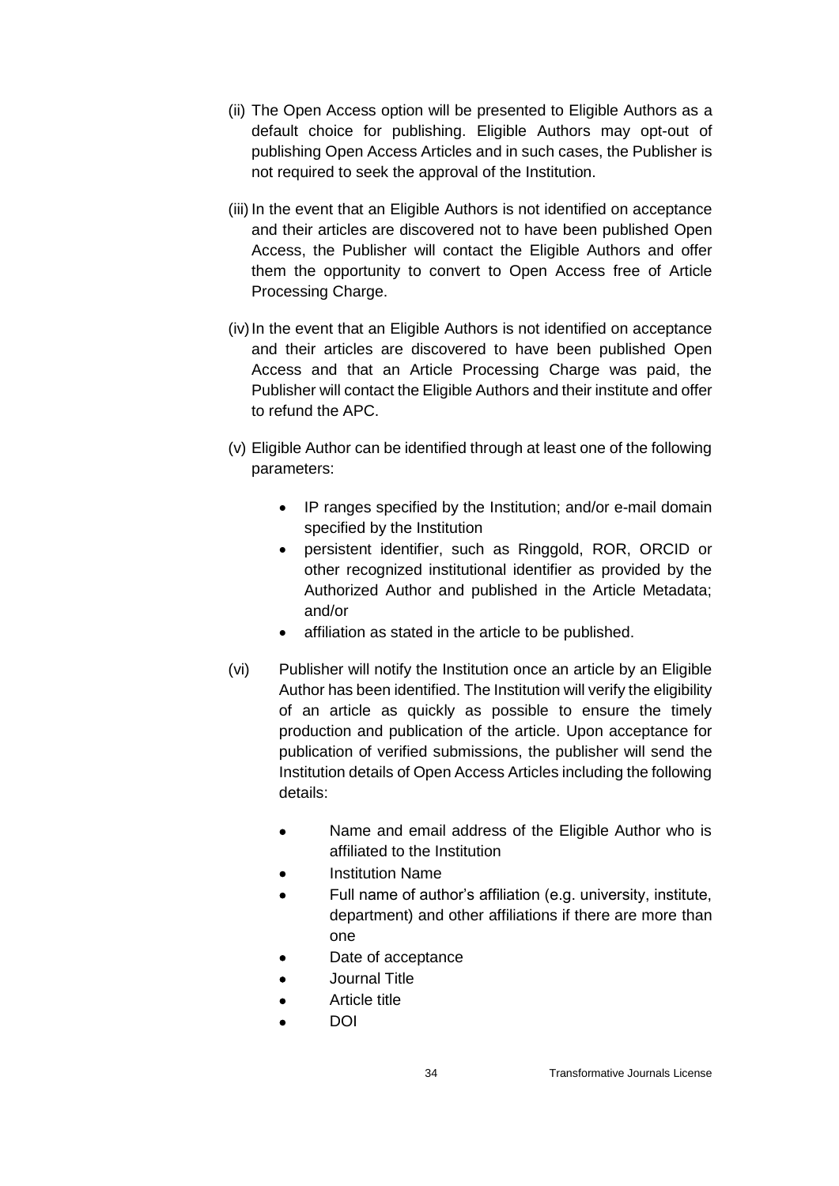- (ii) The Open Access option will be presented to Eligible Authors as a default choice for publishing. Eligible Authors may opt-out of publishing Open Access Articles and in such cases, the Publisher is not required to seek the approval of the Institution.
- (iii) In the event that an Eligible Authors is not identified on acceptance and their articles are discovered not to have been published Open Access, the Publisher will contact the Eligible Authors and offer them the opportunity to convert to Open Access free of Article Processing Charge.
- (iv) In the event that an Eligible Authors is not identified on acceptance and their articles are discovered to have been published Open Access and that an Article Processing Charge was paid, the Publisher will contact the Eligible Authors and their institute and offer to refund the APC.
- (v) Eligible Author can be identified through at least one of the following parameters:
	- IP ranges specified by the Institution; and/or e-mail domain specified by the Institution
	- persistent identifier, such as Ringgold, ROR, ORCID or other recognized institutional identifier as provided by the Authorized Author and published in the Article Metadata; and/or
	- affiliation as stated in the article to be published.
- (vi) Publisher will notify the Institution once an article by an Eligible Author has been identified. The Institution will verify the eligibility of an article as quickly as possible to ensure the timely production and publication of the article. Upon acceptance for publication of verified submissions, the publisher will send the Institution details of Open Access Articles including the following details:
	- Name and email address of the Eligible Author who is affiliated to the Institution
	- Institution Name
	- Full name of author's affiliation (e.g. university, institute, department) and other affiliations if there are more than one
	- Date of acceptance
	- Journal Title
	- Article title
	- DOI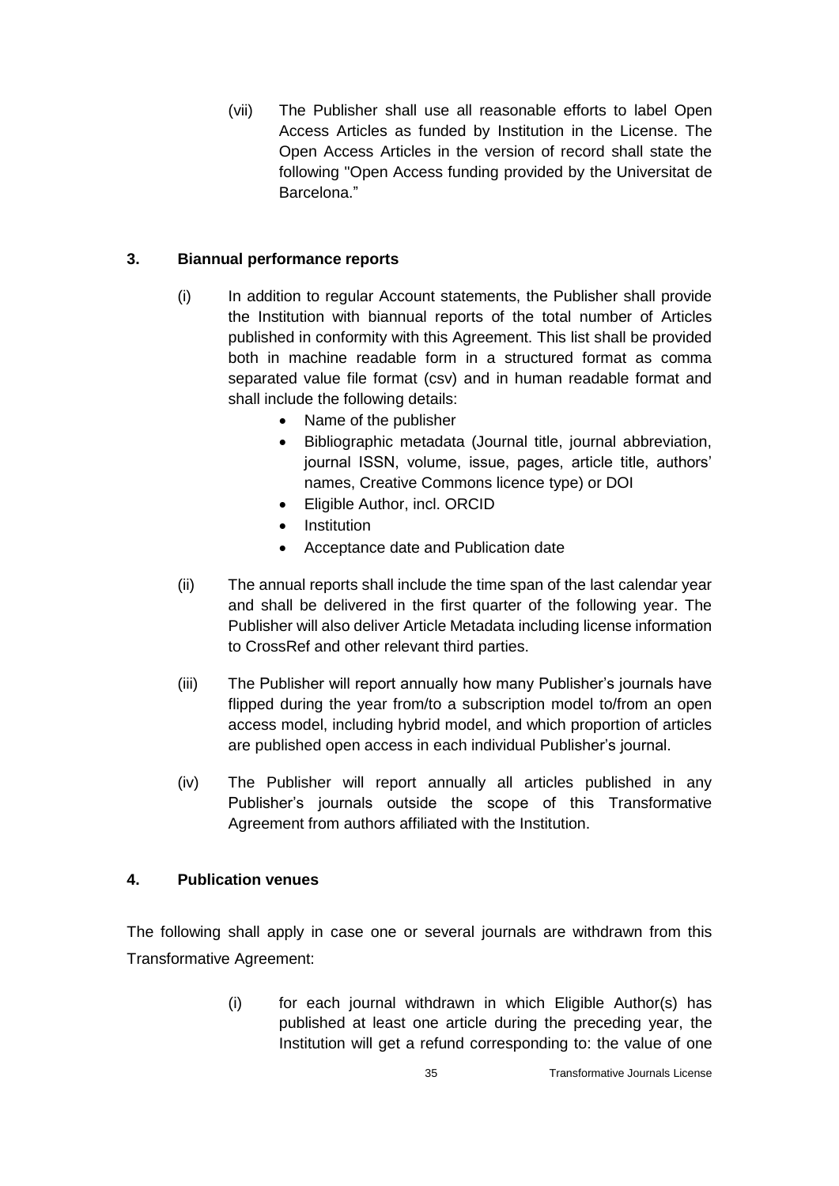(vii) The Publisher shall use all reasonable efforts to label Open Access Articles as funded by Institution in the License. The Open Access Articles in the version of record shall state the following "Open Access funding provided by the Universitat de Barcelona."

# **3. Biannual performance reports**

- (i) In addition to regular Account statements, the Publisher shall provide the Institution with biannual reports of the total number of Articles published in conformity with this Agreement. This list shall be provided both in machine readable form in a structured format as comma separated value file format (csv) and in human readable format and shall include the following details:
	- Name of the publisher
	- Bibliographic metadata (Journal title, journal abbreviation, journal ISSN, volume, issue, pages, article title, authors' names, Creative Commons licence type) or DOI
	- Eligible Author, incl. ORCID
	- Institution
	- Acceptance date and Publication date
- (ii) The annual reports shall include the time span of the last calendar year and shall be delivered in the first quarter of the following year. The Publisher will also deliver Article Metadata including license information to CrossRef and other relevant third parties.
- (iii) The Publisher will report annually how many Publisher's journals have flipped during the year from/to a subscription model to/from an open access model, including hybrid model, and which proportion of articles are published open access in each individual Publisher's journal.
- (iv) The Publisher will report annually all articles published in any Publisher's journals outside the scope of this Transformative Agreement from authors affiliated with the Institution.

## **4. Publication venues**

The following shall apply in case one or several journals are withdrawn from this Transformative Agreement:

> (i) for each journal withdrawn in which Eligible Author(s) has published at least one article during the preceding year, the Institution will get a refund corresponding to: the value of one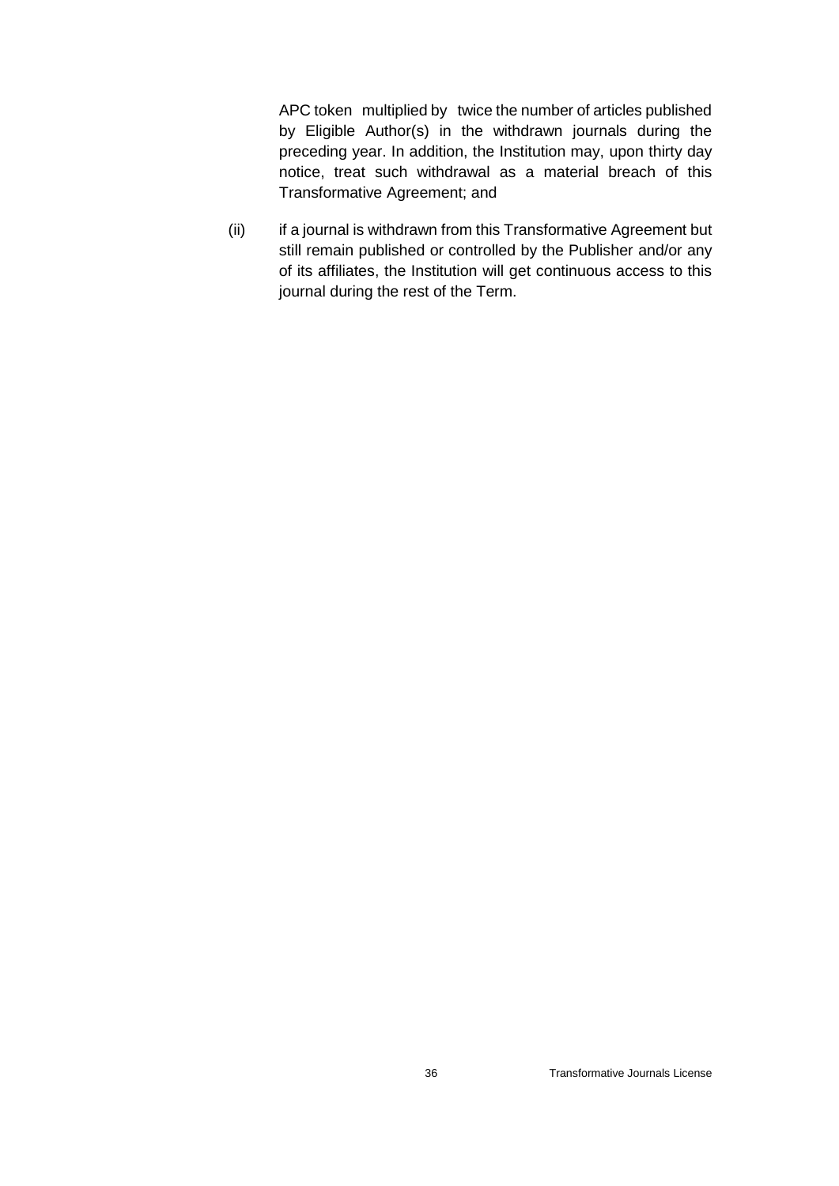APC token multiplied by twice the number of articles published by Eligible Author(s) in the withdrawn journals during the preceding year. In addition, the Institution may, upon thirty day notice, treat such withdrawal as a material breach of this Transformative Agreement; and

(ii) if a journal is withdrawn from this Transformative Agreement but still remain published or controlled by the Publisher and/or any of its affiliates, the Institution will get continuous access to this journal during the rest of the Term.